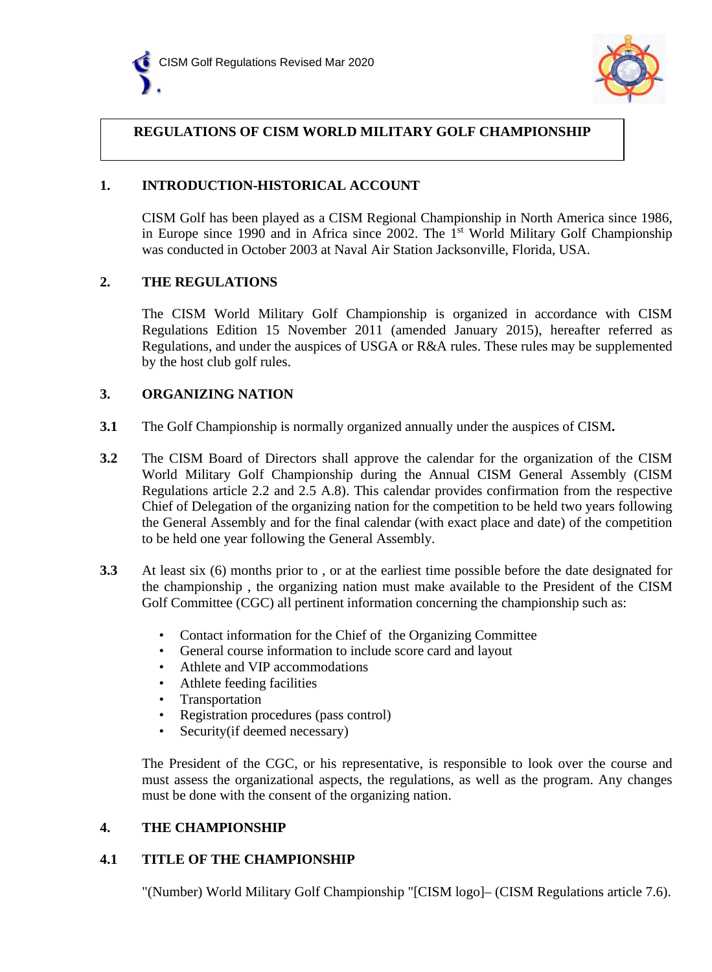



### **REGULATIONS OF CISM WORLD MILITARY GOLF CHAMPIONSHIP**

### **1. INTRODUCTION-HISTORICAL ACCOUNT**

CISM Golf has been played as a CISM Regional Championship in North America since 1986, in Europe since 1990 and in Africa since 2002. The  $1<sup>st</sup>$  World Military Golf Championship was conducted in October 2003 at Naval Air Station Jacksonville, Florida, USA.

### **2. THE REGULATIONS**

The CISM World Military Golf Championship is organized in accordance with CISM Regulations Edition 15 November 2011 (amended January 2015), hereafter referred as Regulations, and under the auspices of USGA or R&A rules. These rules may be supplemented by the host club golf rules.

#### **3. ORGANIZING NATION**

- **3.1** The Golf Championship is normally organized annually under the auspices of CISM**.**
- **3.2** The CISM Board of Directors shall approve the calendar for the organization of the CISM World Military Golf Championship during the Annual CISM General Assembly (CISM Regulations article 2.2 and 2.5 A.8). This calendar provides confirmation from the respective Chief of Delegation of the organizing nation for the competition to be held two years following the General Assembly and for the final calendar (with exact place and date) of the competition to be held one year following the General Assembly.
- **3.3** At least six (6) months prior to , or at the earliest time possible before the date designated for the championship , the organizing nation must make available to the President of the CISM Golf Committee (CGC) all pertinent information concerning the championship such as:
	- Contact information for the Chief of the Organizing Committee
	- General course information to include score card and layout
	- Athlete and VIP accommodations
	- Athlete feeding facilities
	- **Transportation**
	- Registration procedures (pass control)
	- Security (if deemed necessary)

The President of the CGC, or his representative, is responsible to look over the course and must assess the organizational aspects, the regulations, as well as the program. Any changes must be done with the consent of the organizing nation.

### **4. THE CHAMPIONSHIP**

#### **4.1 TITLE OF THE CHAMPIONSHIP**

"(Number) World Military Golf Championship "[CISM logo]– (CISM Regulations article 7.6).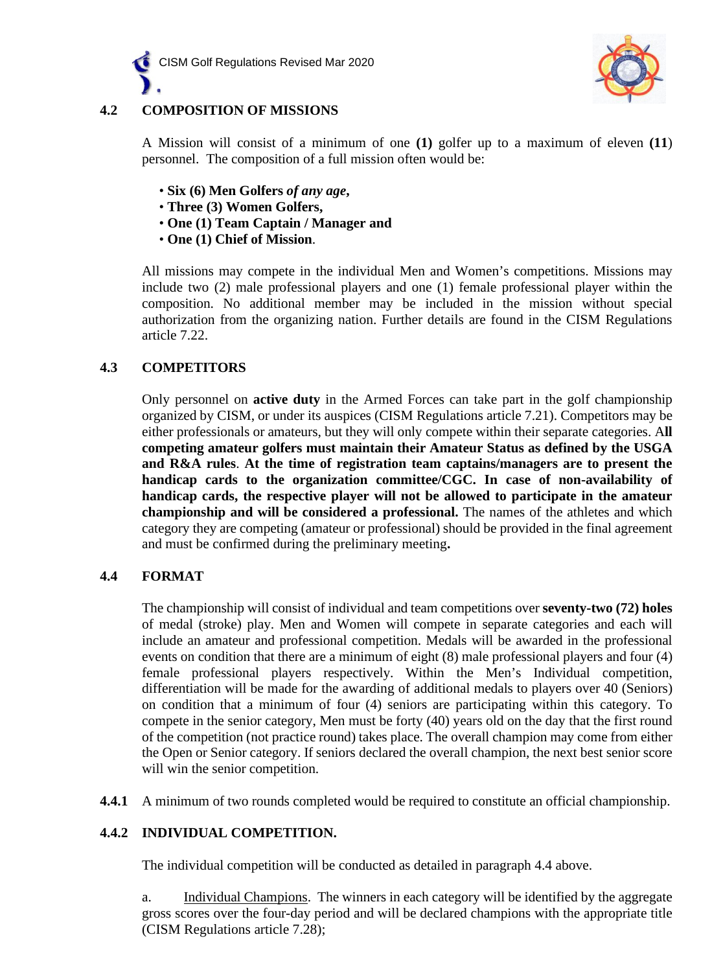



## **4.2 COMPOSITION OF MISSIONS**

A Mission will consist of a minimum of one **(1)** golfer up to a maximum of eleven **(11**) personnel. The composition of a full mission often would be:

- **Six (6) Men Golfers** *of any age***,**
- **Three (3) Women Golfers,**
- **One (1) Team Captain / Manager and**
- **One (1) Chief of Mission**.

All missions may compete in the individual Men and Women's competitions. Missions may include two (2) male professional players and one (1) female professional player within the composition. No additional member may be included in the mission without special authorization from the organizing nation. Further details are found in the CISM Regulations article 7.22.

### **4.3 COMPETITORS**

Only personnel on **active duty** in the Armed Forces can take part in the golf championship organized by CISM, or under its auspices (CISM Regulations article 7.21). Competitors may be either professionals or amateurs, but they will only compete within their separate categories. A**ll competing amateur golfers must maintain their Amateur Status as defined by the USGA and R&A rules**. **At the time of registration team captains/managers are to present the handicap cards to the organization committee/CGC. In case of non-availability of handicap cards, the respective player will not be allowed to participate in the amateur championship and will be considered a professional.** The names of the athletes and which category they are competing (amateur or professional) should be provided in the final agreement and must be confirmed during the preliminary meeting**.**

#### **4.4 FORMAT**

The championship will consist of individual and team competitions over **seventy-two (72) holes** of medal (stroke) play. Men and Women will compete in separate categories and each will include an amateur and professional competition. Medals will be awarded in the professional events on condition that there are a minimum of eight (8) male professional players and four (4) female professional players respectively. Within the Men's Individual competition, differentiation will be made for the awarding of additional medals to players over 40 (Seniors) on condition that a minimum of four (4) seniors are participating within this category. To compete in the senior category, Men must be forty (40) years old on the day that the first round of the competition (not practice round) takes place. The overall champion may come from either the Open or Senior category. If seniors declared the overall champion, the next best senior score will win the senior competition.

**4.4.1** A minimum of two rounds completed would be required to constitute an official championship.

### **4.4.2 INDIVIDUAL COMPETITION.**

The individual competition will be conducted as detailed in paragraph 4.4 above.

a. Individual Champions. The winners in each category will be identified by the aggregate gross scores over the four-day period and will be declared champions with the appropriate title (CISM Regulations article 7.28);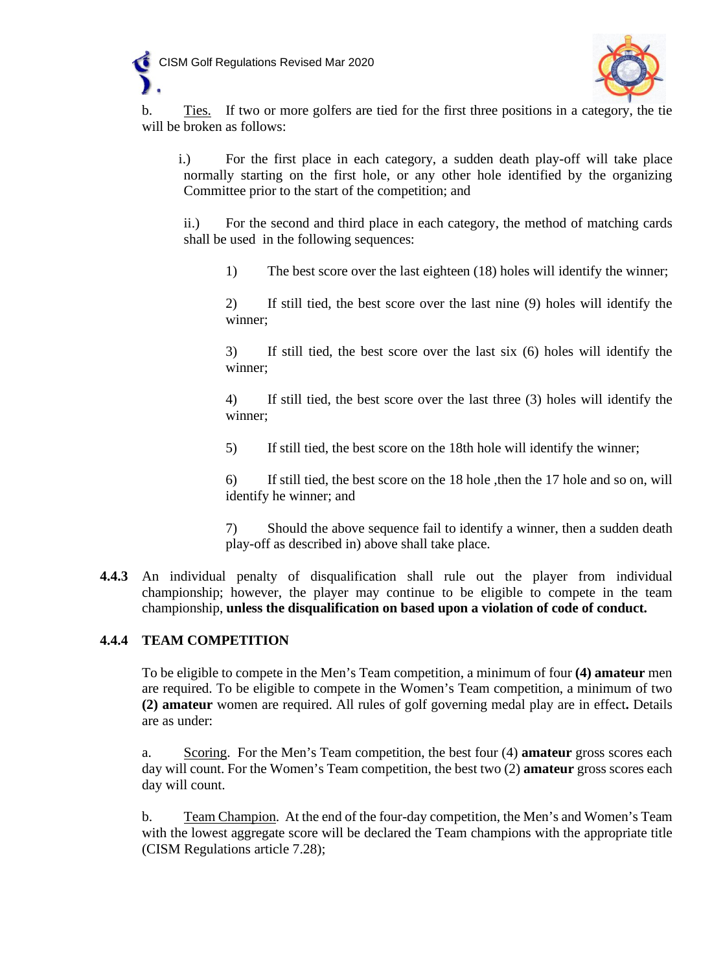



b. Ties. If two or more golfers are tied for the first three positions in a category, the tie will be broken as follows:

i.) For the first place in each category, a sudden death play-off will take place normally starting on the first hole, or any other hole identified by the organizing Committee prior to the start of the competition; and

ii.) For the second and third place in each category, the method of matching cards shall be used in the following sequences:

1) The best score over the last eighteen (18) holes will identify the winner;

2) If still tied, the best score over the last nine (9) holes will identify the winner;

3) If still tied, the best score over the last six (6) holes will identify the winner;

4) If still tied, the best score over the last three (3) holes will identify the winner;

5) If still tied, the best score on the 18th hole will identify the winner;

6) If still tied, the best score on the 18 hole ,then the 17 hole and so on, will identify he winner; and

7) Should the above sequence fail to identify a winner, then a sudden death play-off as described in) above shall take place.

**4.4.3** An individual penalty of disqualification shall rule out the player from individual championship; however, the player may continue to be eligible to compete in the team championship, **unless the disqualification on based upon a violation of code of conduct.**

### **4.4.4 TEAM COMPETITION**

To be eligible to compete in the Men's Team competition, a minimum of four **(4) amateur** men are required. To be eligible to compete in the Women's Team competition, a minimum of two **(2) amateur** women are required. All rules of golf governing medal play are in effect**.** Details are as under:

a. Scoring. For the Men's Team competition, the best four (4) **amateur** gross scores each day will count. For the Women's Team competition, the best two (2) **amateur** gross scores each day will count.

b. Team Champion. At the end of the four-day competition, the Men's and Women's Team with the lowest aggregate score will be declared the Team champions with the appropriate title (CISM Regulations article 7.28);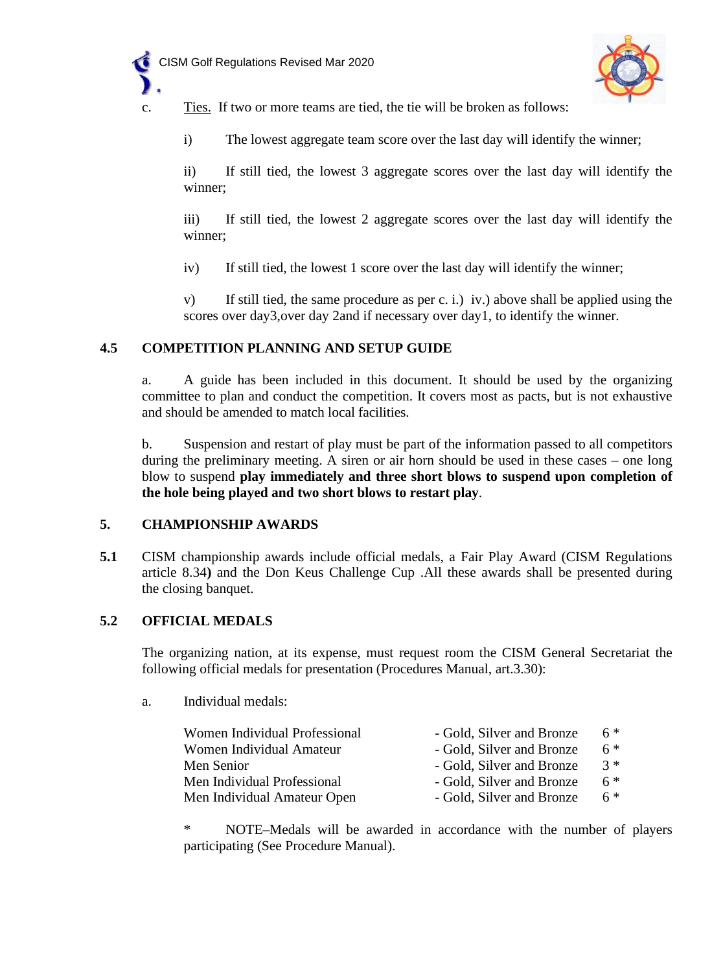



c. Ties.If two or more teams are tied, the tie will be broken as follows:

i) The lowest aggregate team score over the last day will identify the winner;

ii) If still tied, the lowest 3 aggregate scores over the last day will identify the winner;

iii) If still tied, the lowest 2 aggregate scores over the last day will identify the winner;

iv) If still tied, the lowest 1 score over the last day will identify the winner;

v) If still tied, the same procedure as per c. i.) iv.) above shall be applied using the scores over day3,over day 2and if necessary over day1, to identify the winner.

### **4.5 COMPETITION PLANNING AND SETUP GUIDE**

a. A guide has been included in this document. It should be used by the organizing committee to plan and conduct the competition. It covers most as pacts, but is not exhaustive and should be amended to match local facilities.

b. Suspension and restart of play must be part of the information passed to all competitors during the preliminary meeting. A siren or air horn should be used in these cases – one long blow to suspend **play immediately and three short blows to suspend upon completion of the hole being played and two short blows to restart play**.

#### **5. CHAMPIONSHIP AWARDS**

**5.1** CISM championship awards include official medals, a Fair Play Award (CISM Regulations article 8.34**)** and the Don Keus Challenge Cup .All these awards shall be presented during the closing banquet.

### **5.2 OFFICIAL MEDALS**

The organizing nation, at its expense, must request room the CISM General Secretariat the following official medals for presentation (Procedures Manual, art.3.30):

a. Individual medals:

| Women Individual Professional | - Gold, Silver and Bronze | $6*$  |
|-------------------------------|---------------------------|-------|
| Women Individual Amateur      | - Gold, Silver and Bronze | $6*$  |
| Men Senior                    | - Gold, Silver and Bronze | $3 *$ |
| Men Individual Professional   | - Gold, Silver and Bronze | $6 *$ |
| Men Individual Amateur Open   | - Gold, Silver and Bronze | $6*$  |

NOTE–Medals will be awarded in accordance with the number of players participating (See Procedure Manual).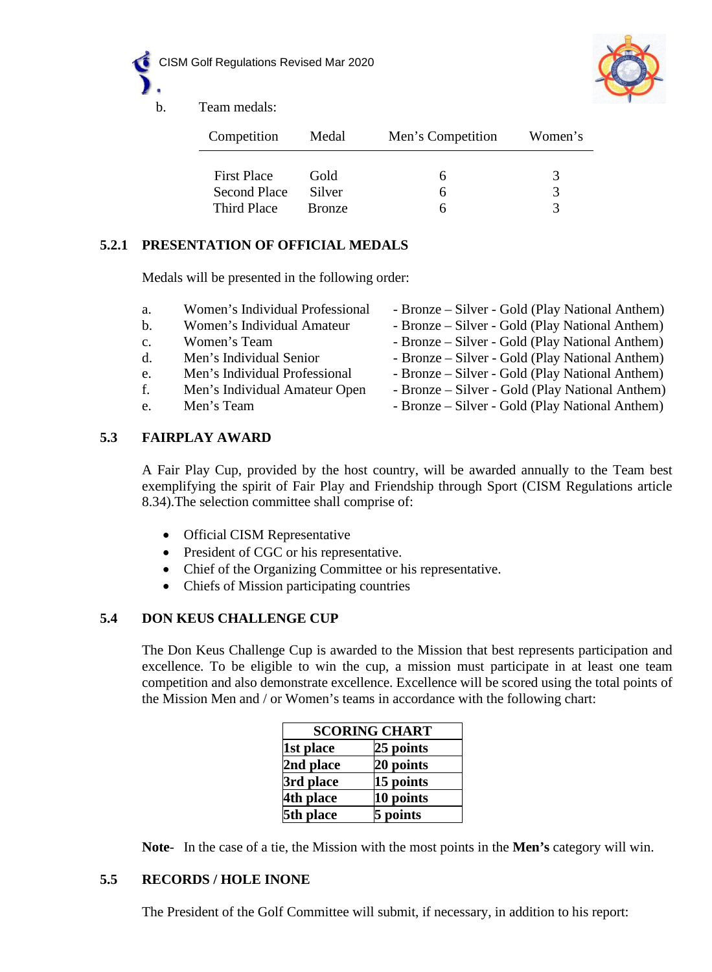



b. Team medals:

| Competition         | Medal  | Men's Competition | Women's |
|---------------------|--------|-------------------|---------|
| <b>First Place</b>  | Gold   | h                 |         |
| <b>Second Place</b> | Silver | h                 |         |
| Third Place         | Bronze |                   |         |

# **5.2.1 PRESENTATION OF OFFICIAL MEDALS**

Medals will be presented in the following order:

- a. Women's Individual Professional Bronze Silver Gold (Play National Anthem)
- 
- 
- 
- 
- 
- 
- b. Women's Individual Amateur Bronze Silver Gold (Play National Anthem)
- c. Women's Team Bronze Silver Gold (Play National Anthem)
- d. Men's Individual Senior Bronze Silver Gold (Play National Anthem)
- e. Men's Individual Professional Bronze Silver Gold (Play National Anthem)
- f. Men's Individual Amateur Open Bronze Silver Gold (Play National Anthem)
- e. Men's Team Bronze Silver Gold (Play National Anthem)

### **5.3 FAIRPLAY AWARD**

A Fair Play Cup, provided by the host country, will be awarded annually to the Team best exemplifying the spirit of Fair Play and Friendship through Sport (CISM Regulations article 8.34).The selection committee shall comprise of:

- Official CISM Representative
- President of CGC or his representative.
- Chief of the Organizing Committee or his representative.
- Chiefs of Mission participating countries

### **5.4 DON KEUS CHALLENGE CUP**

The Don Keus Challenge Cup is awarded to the Mission that best represents participation and excellence. To be eligible to win the cup, a mission must participate in at least one team competition and also demonstrate excellence. Excellence will be scored using the total points of the Mission Men and / or Women's teams in accordance with the following chart:

| <b>SCORING CHART</b> |           |  |
|----------------------|-----------|--|
| 1st place            | 25 points |  |
| 2nd place            | 20 points |  |
| 3rd place            | 15 points |  |
| 4th place            | 10 points |  |
| 5th place            | 5 points  |  |

**Note**- In the case of a tie, the Mission with the most points in the **Men's** category will win.

### **5.5 RECORDS / HOLE INONE**

The President of the Golf Committee will submit, if necessary, in addition to his report: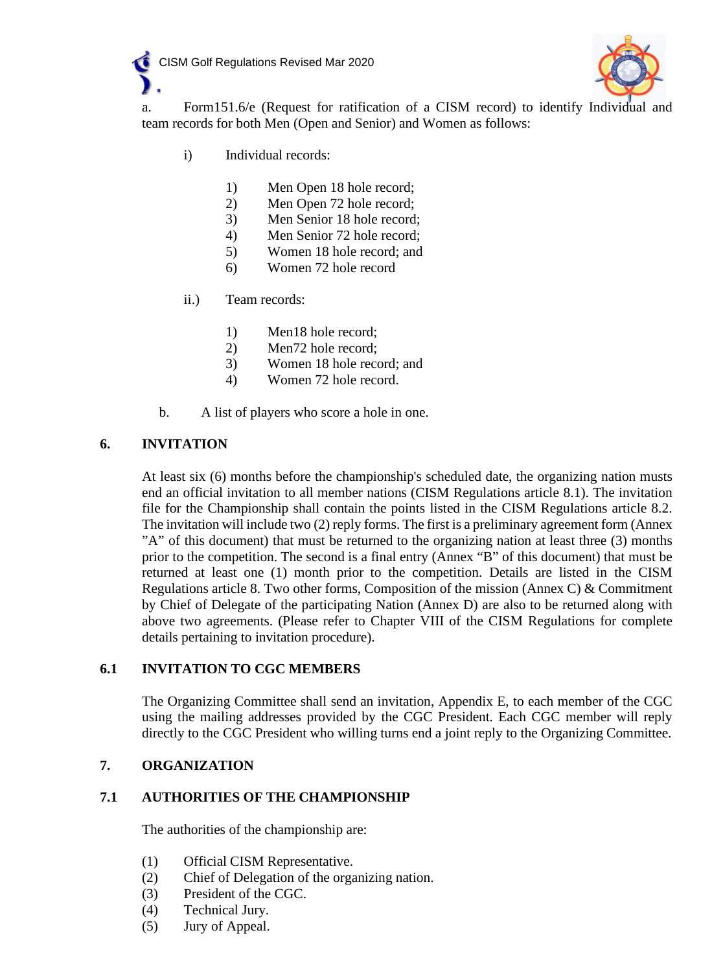



a. Form151.6/e (Request for ratification of a CISM record) to identify Individual and team records for both Men (Open and Senior) and Women as follows:

- i) Individual records:
	- 1) Men Open 18 hole record;
	- 2) Men Open 72 hole record;
	- 3) Men Senior 18 hole record;
	- 4) Men Senior 72 hole record;
	- 5) Women 18 hole record; and
	- 6) Women 72 hole record
- ii.) Team records:
	- 1) Men18 hole record;
	- 2) Men72 hole record;
	- 3) Women 18 hole record; and
	- 4) Women 72 hole record.
- b. A list of players who score a hole in one.

### **6. INVITATION**

At least six (6) months before the championship's scheduled date, the organizing nation musts end an official invitation to all member nations (CISM Regulations article 8.1). The invitation file for the Championship shall contain the points listed in the CISM Regulations article 8.2. The invitation will include two (2) reply forms. The first is a preliminary agreement form (Annex "A" of this document) that must be returned to the organizing nation at least three (3) months prior to the competition. The second is a final entry (Annex "B" of this document) that must be returned at least one (1) month prior to the competition. Details are listed in the CISM Regulations article 8. Two other forms, Composition of the mission (Annex C)  $\&$  Commitment by Chief of Delegate of the participating Nation (Annex D) are also to be returned along with above two agreements. (Please refer to Chapter VIII of the CISM Regulations for complete details pertaining to invitation procedure).

#### **6.1 INVITATION TO CGC MEMBERS**

The Organizing Committee shall send an invitation, Appendix E, to each member of the CGC using the mailing addresses provided by the CGC President. Each CGC member will reply directly to the CGC President who willing turns end a joint reply to the Organizing Committee.

### **7. ORGANIZATION**

### **7.1 AUTHORITIES OF THE CHAMPIONSHIP**

The authorities of the championship are:

- (1) Official CISM Representative.
- (2) Chief of Delegation of the organizing nation.
- (3) President of the CGC.
- (4) Technical Jury.
- (5) Jury of Appeal.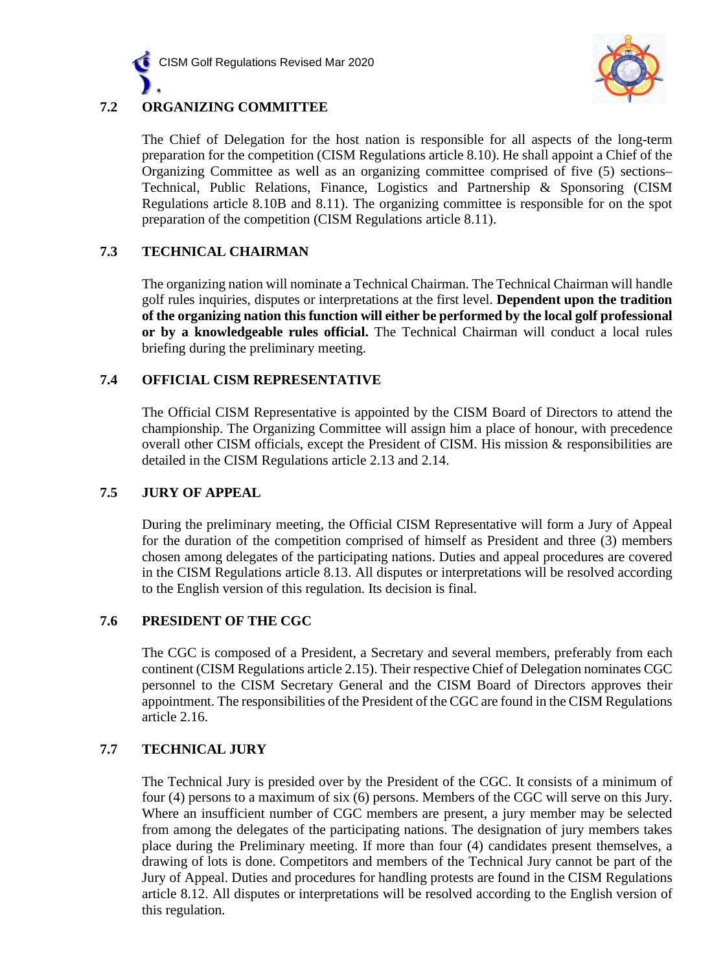



The Chief of Delegation for the host nation is responsible for all aspects of the long-term preparation for the competition (CISM Regulations article 8.10). He shall appoint a Chief of the Organizing Committee as well as an organizing committee comprised of five (5) sections– Technical, Public Relations, Finance, Logistics and Partnership & Sponsoring (CISM Regulations article 8.10B and 8.11). The organizing committee is responsible for on the spot preparation of the competition (CISM Regulations article 8.11).

### **7.3 TECHNICAL CHAIRMAN**

The organizing nation will nominate a Technical Chairman. The Technical Chairman will handle golf rules inquiries, disputes or interpretations at the first level. **Dependent upon the tradition of the organizing nation this function will either be performed by the local golf professional or by a knowledgeable rules official.** The Technical Chairman will conduct a local rules briefing during the preliminary meeting.

### **7.4 OFFICIAL CISM REPRESENTATIVE**

The Official CISM Representative is appointed by the CISM Board of Directors to attend the championship. The Organizing Committee will assign him a place of honour, with precedence overall other CISM officials, except the President of CISM. His mission & responsibilities are detailed in the CISM Regulations article 2.13 and 2.14.

### **7.5 JURY OF APPEAL**

During the preliminary meeting, the Official CISM Representative will form a Jury of Appeal for the duration of the competition comprised of himself as President and three (3) members chosen among delegates of the participating nations. Duties and appeal procedures are covered in the CISM Regulations article 8.13. All disputes or interpretations will be resolved according to the English version of this regulation. Its decision is final.

### **7.6 PRESIDENT OF THE CGC**

The CGC is composed of a President, a Secretary and several members, preferably from each continent (CISM Regulations article 2.15). Their respective Chief of Delegation nominates CGC personnel to the CISM Secretary General and the CISM Board of Directors approves their appointment. The responsibilities of the President of the CGC are found in the CISM Regulations article 2.16.

## **7.7 TECHNICAL JURY**

The Technical Jury is presided over by the President of the CGC. It consists of a minimum of four (4) persons to a maximum of six (6) persons. Members of the CGC will serve on this Jury. Where an insufficient number of CGC members are present, a jury member may be selected from among the delegates of the participating nations. The designation of jury members takes place during the Preliminary meeting. If more than four (4) candidates present themselves, a drawing of lots is done. Competitors and members of the Technical Jury cannot be part of the Jury of Appeal. Duties and procedures for handling protests are found in the CISM Regulations article 8.12. All disputes or interpretations will be resolved according to the English version of this regulation.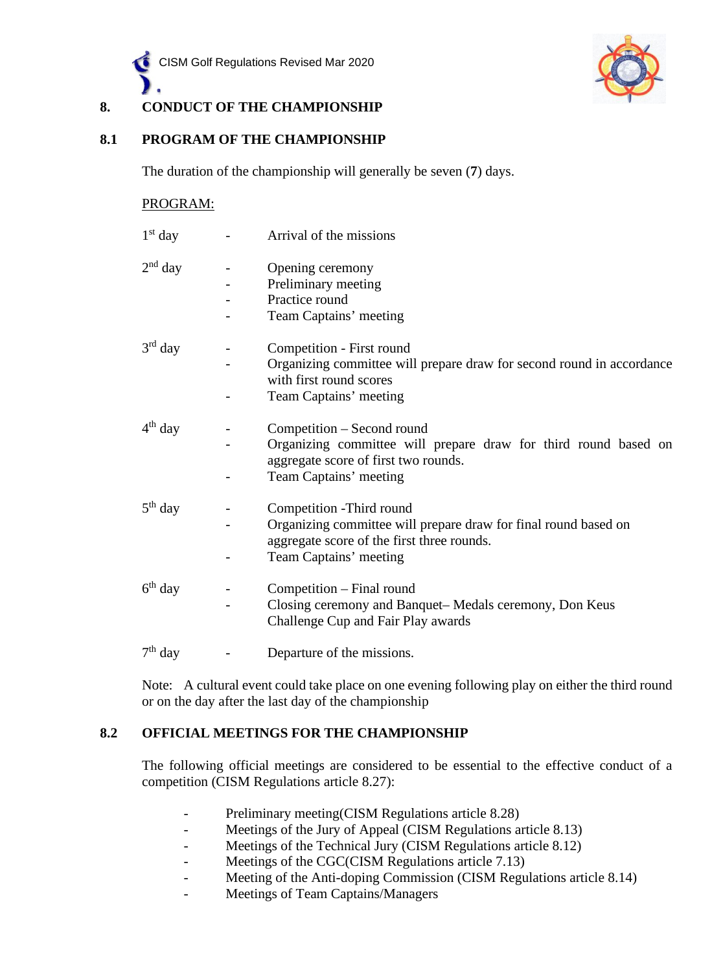



# **8. CONDUCT OF THE CHAMPIONSHIP**

### **8.1 PROGRAM OF THE CHAMPIONSHIP**

The duration of the championship will generally be seven (**7**) days.

#### PROGRAM:

| $1st$ day           | Arrival of the missions                                                                                       |
|---------------------|---------------------------------------------------------------------------------------------------------------|
| $2nd$ day           | Opening ceremony                                                                                              |
|                     | Preliminary meeting                                                                                           |
|                     | Practice round                                                                                                |
|                     | Team Captains' meeting                                                                                        |
| $3^{\text{rd}}$ day | Competition - First round                                                                                     |
|                     | Organizing committee will prepare draw for second round in accordance<br>with first round scores              |
|                     | Team Captains' meeting                                                                                        |
| 4 <sup>th</sup> day | Competition – Second round                                                                                    |
|                     | Organizing committee will prepare draw for third round based on<br>aggregate score of first two rounds.       |
|                     | Team Captains' meeting                                                                                        |
| $5th$ day           | Competition - Third round                                                                                     |
|                     | Organizing committee will prepare draw for final round based on<br>aggregate score of the first three rounds. |
|                     | Team Captains' meeting                                                                                        |
| 6 <sup>th</sup> day | Competition – Final round                                                                                     |
|                     | Closing ceremony and Banquet–Medals ceremony, Don Keus<br>Challenge Cup and Fair Play awards                  |
| $7th$ day           | Departure of the missions.                                                                                    |

Note: A cultural event could take place on one evening following play on either the third round or on the day after the last day of the championship

### **8.2 OFFICIAL MEETINGS FOR THE CHAMPIONSHIP**

The following official meetings are considered to be essential to the effective conduct of a competition (CISM Regulations article 8.27):

- Preliminary meeting(CISM Regulations article 8.28)
- Meetings of the Jury of Appeal (CISM Regulations article 8.13)
- Meetings of the Technical Jury (CISM Regulations article 8.12)
- Meetings of the CGC(CISM Regulations article 7.13)
- Meeting of the Anti-doping Commission (CISM Regulations article 8.14)
- Meetings of Team Captains/Managers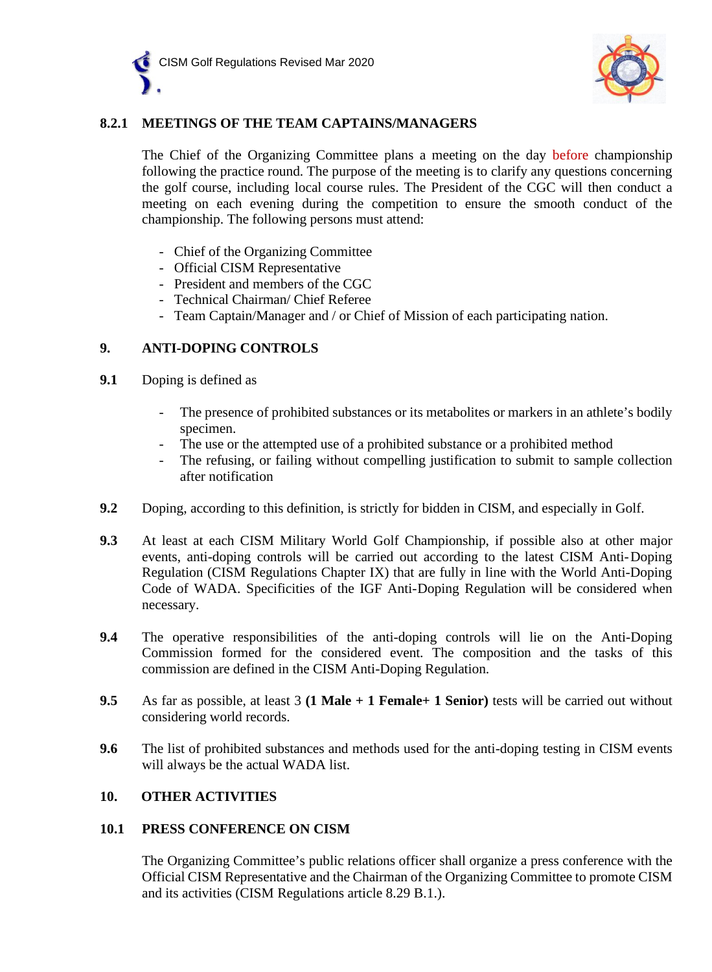



### **8.2.1 MEETINGS OF THE TEAM CAPTAINS/MANAGERS**

The Chief of the Organizing Committee plans a meeting on the day before championship following the practice round. The purpose of the meeting is to clarify any questions concerning the golf course, including local course rules. The President of the CGC will then conduct a meeting on each evening during the competition to ensure the smooth conduct of the championship. The following persons must attend:

- Chief of the Organizing Committee
- Official CISM Representative
- President and members of the CGC
- Technical Chairman/ Chief Referee
- Team Captain/Manager and / or Chief of Mission of each participating nation.

#### **9. ANTI-DOPING CONTROLS**

- **9.1** Doping is defined as
	- The presence of prohibited substances or its metabolites or markers in an athlete's bodily specimen.
	- The use or the attempted use of a prohibited substance or a prohibited method
	- The refusing, or failing without compelling justification to submit to sample collection after notification
- **9.2** Doping, according to this definition, is strictly for bidden in CISM, and especially in Golf.
- **9.3** At least at each CISM Military World Golf Championship, if possible also at other major events, anti-doping controls will be carried out according to the latest CISM Anti-Doping Regulation (CISM Regulations Chapter IX) that are fully in line with the World Anti-Doping Code of WADA. Specificities of the IGF Anti-Doping Regulation will be considered when necessary.
- **9.4** The operative responsibilities of the anti-doping controls will lie on the Anti-Doping Commission formed for the considered event. The composition and the tasks of this commission are defined in the CISM Anti-Doping Regulation.
- **9.5** As far as possible, at least 3 **(1 Male + 1 Female+ 1 Senior)** tests will be carried out without considering world records.
- **9.6** The list of prohibited substances and methods used for the anti-doping testing in CISM events will always be the actual WADA list.

### **10. OTHER ACTIVITIES**

#### **10.1 PRESS CONFERENCE ON CISM**

The Organizing Committee's public relations officer shall organize a press conference with the Official CISM Representative and the Chairman of the Organizing Committee to promote CISM and its activities (CISM Regulations article 8.29 B.1.).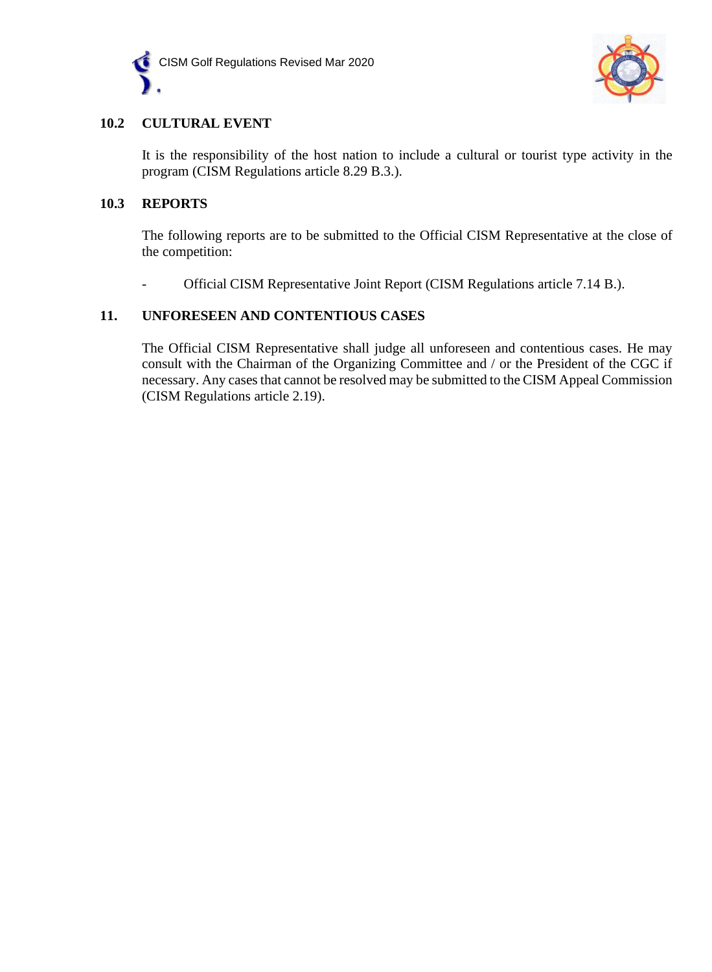



### **10.2 CULTURAL EVENT**

It is the responsibility of the host nation to include a cultural or tourist type activity in the program (CISM Regulations article 8.29 B.3.).

### **10.3 REPORTS**

The following reports are to be submitted to the Official CISM Representative at the close of the competition:

- Official CISM Representative Joint Report (CISM Regulations article 7.14 B.).

### **11. UNFORESEEN AND CONTENTIOUS CASES**

The Official CISM Representative shall judge all unforeseen and contentious cases. He may consult with the Chairman of the Organizing Committee and / or the President of the CGC if necessary. Any cases that cannot be resolved may be submitted to the CISM Appeal Commission (CISM Regulations article 2.19).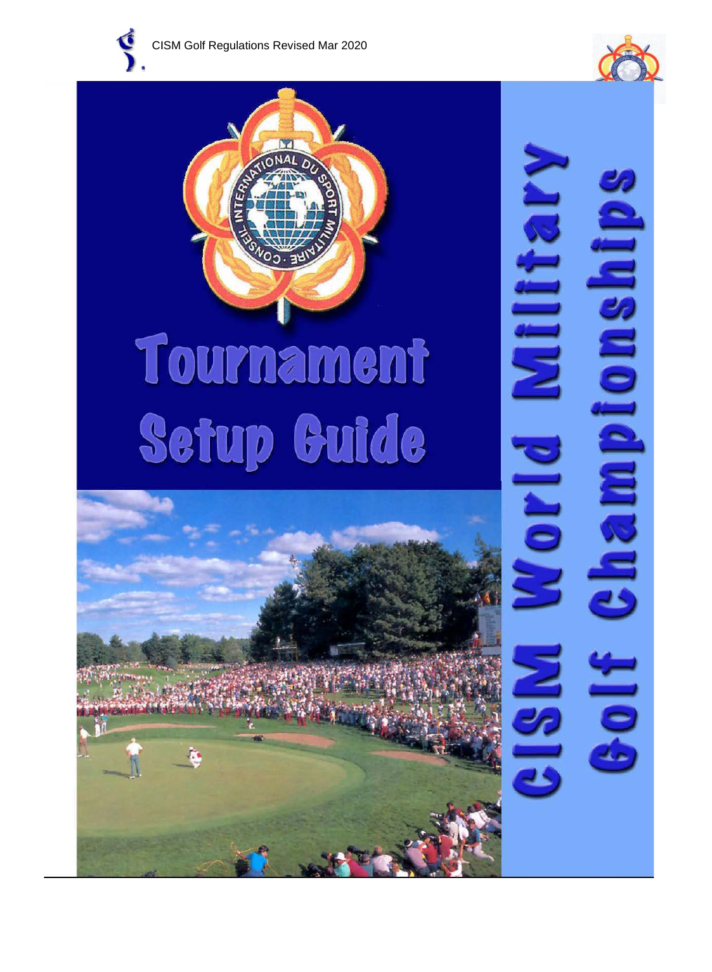







ampionship

 $\frac{1}{2}$ 

Millitar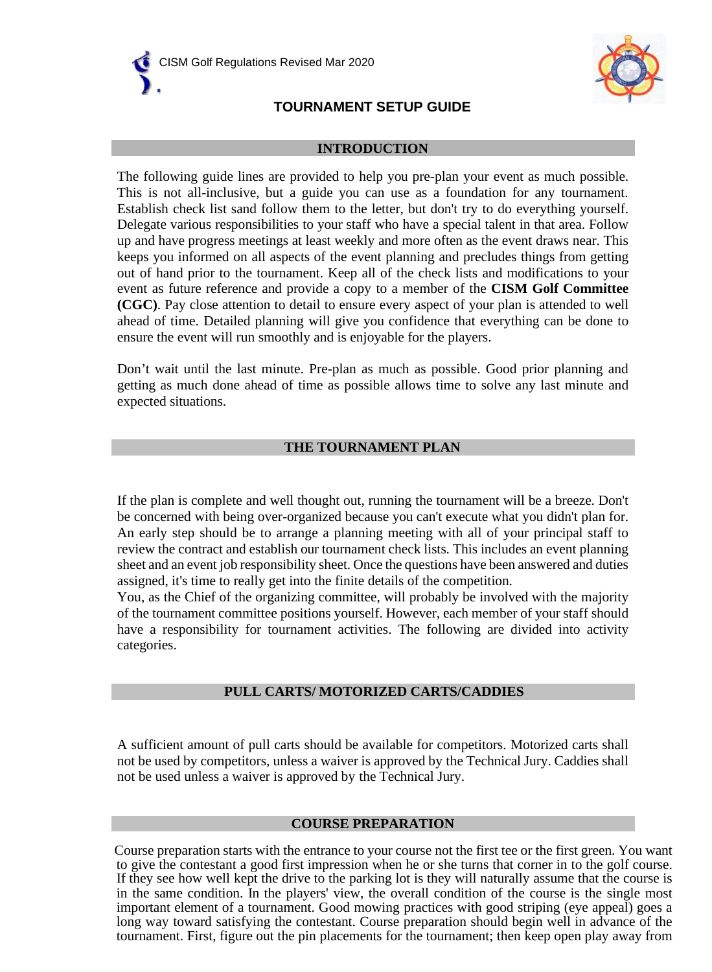



## **TOURNAMENT SETUP GUIDE**

#### **INTRODUCTION**

The following guide lines are provided to help you pre-plan your event as much possible. This is not all-inclusive, but a guide you can use as a foundation for any tournament. Establish check list sand follow them to the letter, but don't try to do everything yourself. Delegate various responsibilities to your staff who have a special talent in that area. Follow up and have progress meetings at least weekly and more often as the event draws near. This keeps you informed on all aspects of the event planning and precludes things from getting out of hand prior to the tournament. Keep all of the check lists and modifications to your event as future reference and provide a copy to a member of the **CISM Golf Committee (CGC)**. Pay close attention to detail to ensure every aspect of your plan is attended to well ahead of time. Detailed planning will give you confidence that everything can be done to ensure the event will run smoothly and is enjoyable for the players.

Don't wait until the last minute. Pre-plan as much as possible. Good prior planning and getting as much done ahead of time as possible allows time to solve any last minute and expected situations.

### **THE TOURNAMENT PLAN**

If the plan is complete and well thought out, running the tournament will be a breeze. Don't be concerned with being over-organized because you can't execute what you didn't plan for. An early step should be to arrange a planning meeting with all of your principal staff to review the contract and establish our tournament check lists. This includes an event planning sheet and an event job responsibility sheet. Once the questions have been answered and duties assigned, it's time to really get into the finite details of the competition.

You, as the Chief of the organizing committee, will probably be involved with the majority of the tournament committee positions yourself. However, each member of your staff should have a responsibility for tournament activities. The following are divided into activity categories.

### **PULL CARTS/ MOTORIZED CARTS/CADDIES**

A sufficient amount of pull carts should be available for competitors. Motorized carts shall not be used by competitors, unless a waiver is approved by the Technical Jury. Caddies shall not be used unless a waiver is approved by the Technical Jury.

#### **COURSE PREPARATION**

Course preparation starts with the entrance to your course not the first tee or the first green. You want to give the contestant a good first impression when he or she turns that corner in to the golf course. If they see how well kept the drive to the parking lot is they will naturally assume that the course is in the same condition. In the players' view, the overall condition of the course is the single most important element of a tournament. Good mowing practices with good striping (eye appeal) goes a long way toward satisfying the contestant. Course preparation should begin well in advance of the tournament. First, figure out the pin placements for the tournament; then keep open play away from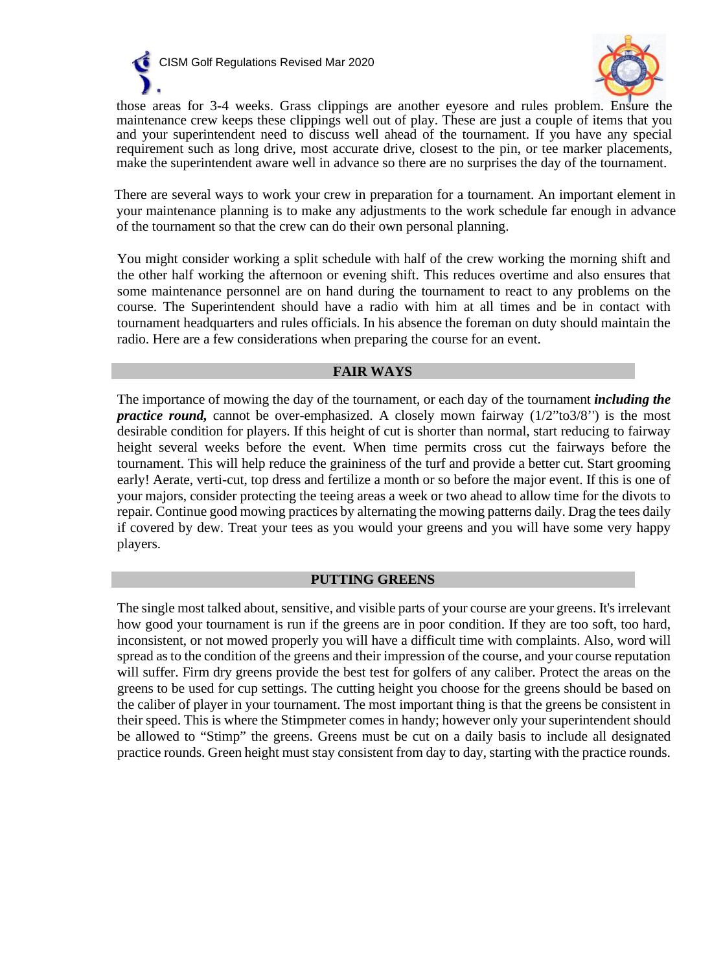



those areas for 3-4 weeks. Grass clippings are another eyesore and rules problem. Ensure the maintenance crew keeps these clippings well out of play. These are just a couple of items that you and your superintendent need to discuss well ahead of the tournament. If you have any special requirement such as long drive, most accurate drive, closest to the pin, or tee marker placements, make the superintendent aware well in advance so there are no surprises the day of the tournament.

There are several ways to work your crew in preparation for a tournament. An important element in your maintenance planning is to make any adjustments to the work schedule far enough in advance of the tournament so that the crew can do their own personal planning.

You might consider working a split schedule with half of the crew working the morning shift and the other half working the afternoon or evening shift. This reduces overtime and also ensures that some maintenance personnel are on hand during the tournament to react to any problems on the course. The Superintendent should have a radio with him at all times and be in contact with tournament headquarters and rules officials. In his absence the foreman on duty should maintain the radio. Here are a few considerations when preparing the course for an event.

#### **FAIR WAYS**

The importance of mowing the day of the tournament, or each day of the tournament *including the practice round*, cannot be over-emphasized. A closely mown fairway (1/2"to3/8") is the most desirable condition for players. If this height of cut is shorter than normal, start reducing to fairway height several weeks before the event. When time permits cross cut the fairways before the tournament. This will help reduce the graininess of the turf and provide a better cut. Start grooming early! Aerate, verti-cut, top dress and fertilize a month or so before the major event. If this is one of your majors, consider protecting the teeing areas a week or two ahead to allow time for the divots to repair. Continue good mowing practices by alternating the mowing patterns daily. Drag the tees daily if covered by dew. Treat your tees as you would your greens and you will have some very happy players.

### **PUTTING GREENS**

The single most talked about, sensitive, and visible parts of your course are your greens. It's irrelevant how good your tournament is run if the greens are in poor condition. If they are too soft, too hard, inconsistent, or not mowed properly you will have a difficult time with complaints. Also, word will spread as to the condition of the greens and their impression of the course, and your course reputation will suffer. Firm dry greens provide the best test for golfers of any caliber. Protect the areas on the greens to be used for cup settings. The cutting height you choose for the greens should be based on the caliber of player in your tournament. The most important thing is that the greens be consistent in their speed. This is where the Stimpmeter comes in handy; however only your superintendent should be allowed to "Stimp" the greens. Greens must be cut on a daily basis to include all designated practice rounds. Green height must stay consistent from day to day, starting with the practice rounds.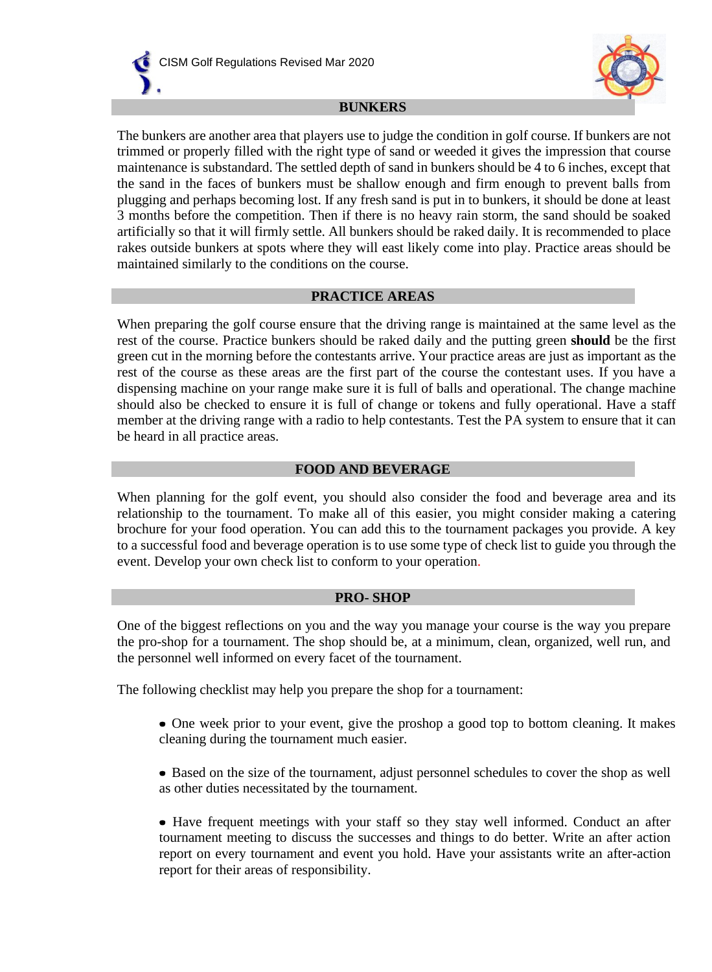



#### **BUNKERS**

The bunkers are another area that players use to judge the condition in golf course. If bunkers are not trimmed or properly filled with the right type of sand or weeded it gives the impression that course maintenance is substandard. The settled depth of sand in bunkers should be 4 to 6 inches, except that the sand in the faces of bunkers must be shallow enough and firm enough to prevent balls from plugging and perhaps becoming lost. If any fresh sand is put in to bunkers, it should be done at least 3 months before the competition. Then if there is no heavy rain storm, the sand should be soaked artificially so that it will firmly settle. All bunkers should be raked daily. It is recommended to place rakes outside bunkers at spots where they will east likely come into play. Practice areas should be maintained similarly to the conditions on the course.

#### **PRACTICE AREAS**

When preparing the golf course ensure that the driving range is maintained at the same level as the rest of the course. Practice bunkers should be raked daily and the putting green **should** be the first green cut in the morning before the contestants arrive. Your practice areas are just as important as the rest of the course as these areas are the first part of the course the contestant uses. If you have a dispensing machine on your range make sure it is full of balls and operational. The change machine should also be checked to ensure it is full of change or tokens and fully operational. Have a staff member at the driving range with a radio to help contestants. Test the PA system to ensure that it can be heard in all practice areas.

#### **FOOD AND BEVERAGE**

When planning for the golf event, you should also consider the food and beverage area and its relationship to the tournament. To make all of this easier, you might consider making a catering brochure for your food operation. You can add this to the tournament packages you provide. A key to a successful food and beverage operation is to use some type of check list to guide you through the event. Develop your own check list to conform to your operation.

#### **PRO- SHOP**

One of the biggest reflections on you and the way you manage your course is the way you prepare the pro-shop for a tournament. The shop should be, at a minimum, clean, organized, well run, and the personnel well informed on every facet of the tournament.

The following checklist may help you prepare the shop for a tournament:

- One week prior to your event, give the proshop a good top to bottom cleaning. It makes cleaning during the tournament much easier.
- Based on the size of the tournament, adjust personnel schedules to cover the shop as well as other duties necessitated by the tournament.

• Have frequent meetings with your staff so they stay well informed. Conduct an after tournament meeting to discuss the successes and things to do better. Write an after action report on every tournament and event you hold. Have your assistants write an after-action report for their areas of responsibility.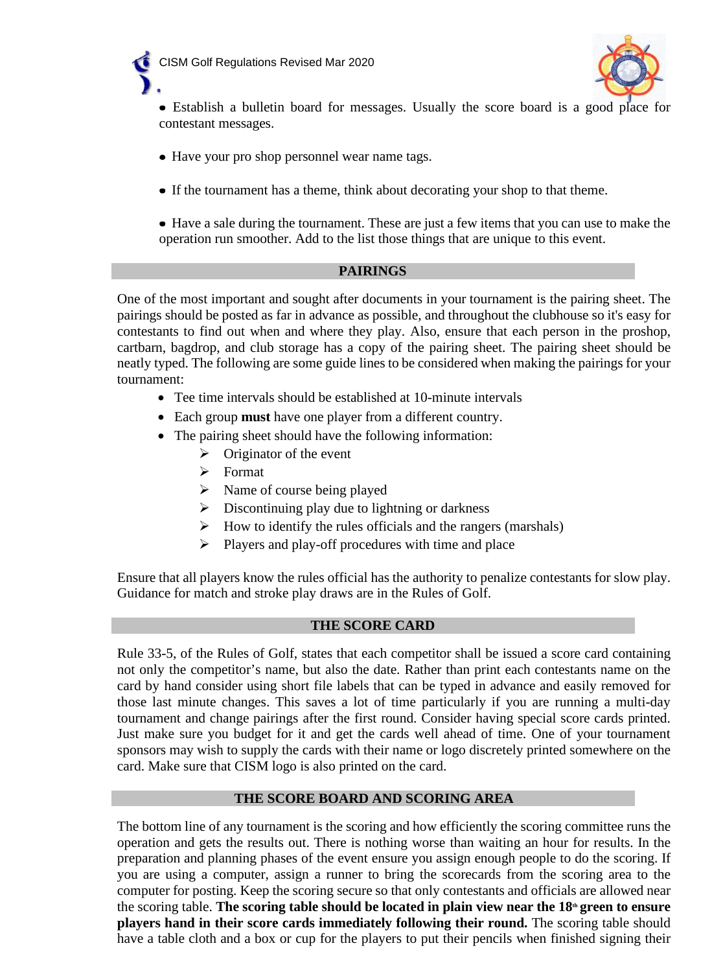



- Establish a bulletin board for messages. Usually the score board is a good place for contestant messages.
- Have your pro shop personnel wear name tags.
- If the tournament has a theme, think about decorating your shop to that theme.
- Have a sale during the tournament. These are just a few items that you can use to make the operation run smoother. Add to the list those things that are unique to this event.

#### **PAIRINGS**

One of the most important and sought after documents in your tournament is the pairing sheet. The pairings should be posted as far in advance as possible, and throughout the clubhouse so it's easy for contestants to find out when and where they play. Also, ensure that each person in the proshop, cartbarn, bagdrop, and club storage has a copy of the pairing sheet. The pairing sheet should be neatly typed. The following are some guide lines to be considered when making the pairings for your tournament:

- Tee time intervals should be established at 10-minute intervals
- Each group **must** have one player from a different country.
- The pairing sheet should have the following information:
	- $\triangleright$  Originator of the event
	- $\triangleright$  Format
	- $\triangleright$  Name of course being played
	- $\triangleright$  Discontinuing play due to lightning or darkness
	- $\triangleright$  How to identify the rules officials and the rangers (marshals)
	- $\triangleright$  Players and play-off procedures with time and place

Ensure that all players know the rules official has the authority to penalize contestants for slow play. Guidance for match and stroke play draws are in the Rules of Golf.

#### **THE SCORE CARD**

Rule 33-5, of the Rules of Golf, states that each competitor shall be issued a score card containing not only the competitor's name, but also the date. Rather than print each contestants name on the card by hand consider using short file labels that can be typed in advance and easily removed for those last minute changes. This saves a lot of time particularly if you are running a multi-day tournament and change pairings after the first round. Consider having special score cards printed. Just make sure you budget for it and get the cards well ahead of time. One of your tournament sponsors may wish to supply the cards with their name or logo discretely printed somewhere on the card. Make sure that CISM logo is also printed on the card.

#### **THE SCORE BOARD AND SCORING AREA**

The bottom line of any tournament is the scoring and how efficiently the scoring committee runs the operation and gets the results out. There is nothing worse than waiting an hour for results. In the preparation and planning phases of the event ensure you assign enough people to do the scoring. If you are using a computer, assign a runner to bring the scorecards from the scoring area to the computer for posting. Keep the scoring secure so that only contestants and officials are allowed near the scoring table. **The scoring table should be located in plain view near the 18th green to ensure players hand in their score cards immediately following their round.** The scoring table should have a table cloth and a box or cup for the players to put their pencils when finished signing their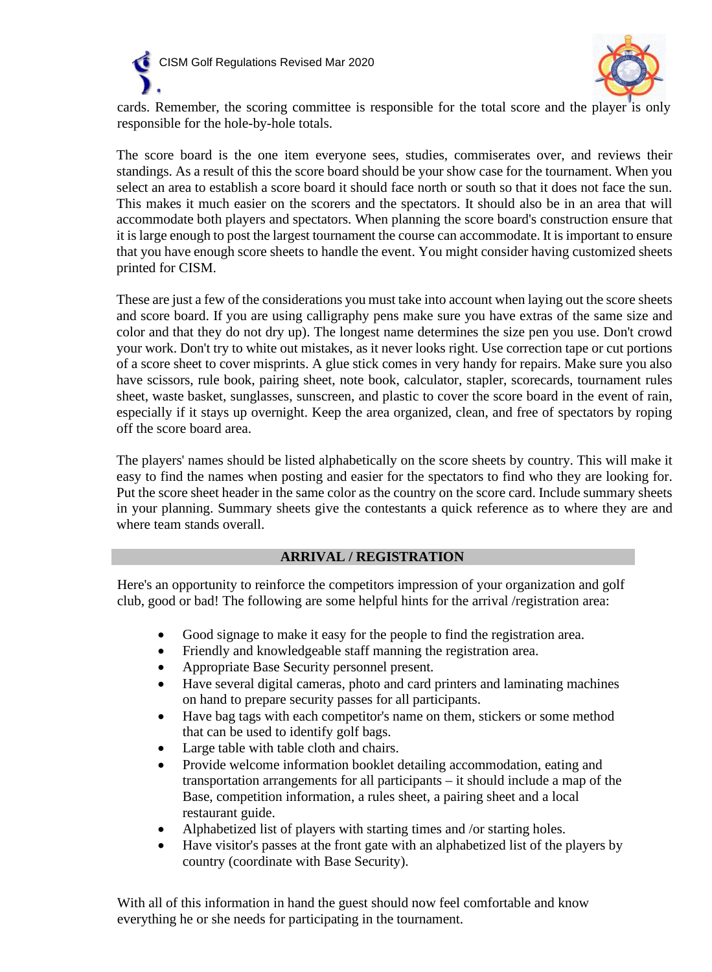



cards. Remember, the scoring committee is responsible for the total score and the player is only responsible for the hole-by-hole totals.

The score board is the one item everyone sees, studies, commiserates over, and reviews their standings. As a result of this the score board should be your show case for the tournament. When you select an area to establish a score board it should face north or south so that it does not face the sun. This makes it much easier on the scorers and the spectators. It should also be in an area that will accommodate both players and spectators. When planning the score board's construction ensure that it is large enough to post the largest tournament the course can accommodate. It is important to ensure that you have enough score sheets to handle the event. You might consider having customized sheets printed for CISM.

These are just a few of the considerations you must take into account when laying out the score sheets and score board. If you are using calligraphy pens make sure you have extras of the same size and color and that they do not dry up). The longest name determines the size pen you use. Don't crowd your work. Don't try to white out mistakes, as it never looks right. Use correction tape or cut portions of a score sheet to cover misprints. A glue stick comes in very handy for repairs. Make sure you also have scissors, rule book, pairing sheet, note book, calculator, stapler, scorecards, tournament rules sheet, waste basket, sunglasses, sunscreen, and plastic to cover the score board in the event of rain, especially if it stays up overnight. Keep the area organized, clean, and free of spectators by roping off the score board area.

The players' names should be listed alphabetically on the score sheets by country. This will make it easy to find the names when posting and easier for the spectators to find who they are looking for. Put the score sheet header in the same color as the country on the score card. Include summary sheets in your planning. Summary sheets give the contestants a quick reference as to where they are and where team stands overall.

#### **ARRIVAL / REGISTRATION**

Here's an opportunity to reinforce the competitors impression of your organization and golf club, good or bad! The following are some helpful hints for the arrival /registration area:

- Good signage to make it easy for the people to find the registration area.
- Friendly and knowledgeable staff manning the registration area.
- Appropriate Base Security personnel present.
- Have several digital cameras, photo and card printers and laminating machines on hand to prepare security passes for all participants.
- Have bag tags with each competitor's name on them, stickers or some method that can be used to identify golf bags.
- Large table with table cloth and chairs.
- Provide welcome information booklet detailing accommodation, eating and transportation arrangements for all participants – it should include a map of the Base, competition information, a rules sheet, a pairing sheet and a local restaurant guide.
- Alphabetized list of players with starting times and /or starting holes.
- Have visitor's passes at the front gate with an alphabetized list of the players by country (coordinate with Base Security).

With all of this information in hand the guest should now feel comfortable and know everything he or she needs for participating in the tournament.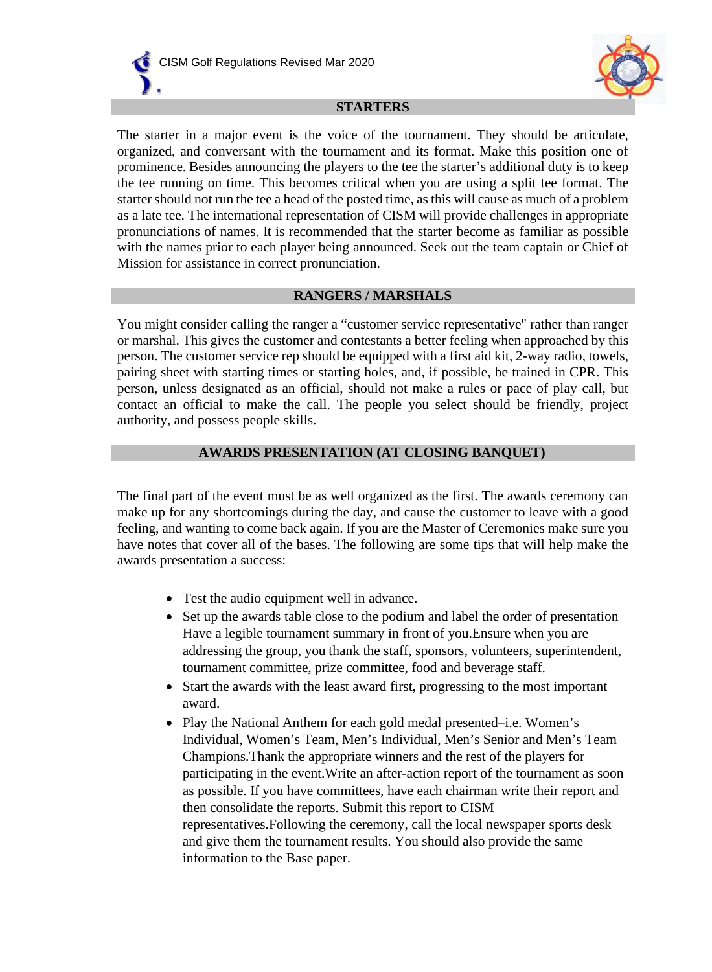



#### **STARTERS**

The starter in a major event is the voice of the tournament. They should be articulate, organized, and conversant with the tournament and its format. Make this position one of prominence. Besides announcing the players to the tee the starter's additional duty is to keep the tee running on time. This becomes critical when you are using a split tee format. The starter should not run the tee a head of the posted time, as this will cause as much of a problem as a late tee. The international representation of CISM will provide challenges in appropriate pronunciations of names. It is recommended that the starter become as familiar as possible with the names prior to each player being announced. Seek out the team captain or Chief of Mission for assistance in correct pronunciation.

#### **RANGERS / MARSHALS**

You might consider calling the ranger a "customer service representative" rather than ranger or marshal. This gives the customer and contestants a better feeling when approached by this person. The customer service rep should be equipped with a first aid kit, 2-way radio, towels, pairing sheet with starting times or starting holes, and, if possible, be trained in CPR. This person, unless designated as an official, should not make a rules or pace of play call, but contact an official to make the call. The people you select should be friendly, project authority, and possess people skills.

### **AWARDS PRESENTATION (AT CLOSING BANQUET)**

The final part of the event must be as well organized as the first. The awards ceremony can make up for any shortcomings during the day, and cause the customer to leave with a good feeling, and wanting to come back again. If you are the Master of Ceremonies make sure you have notes that cover all of the bases. The following are some tips that will help make the awards presentation a success:

- Test the audio equipment well in advance.
- Set up the awards table close to the podium and label the order of presentation Have a legible tournament summary in front of you.Ensure when you are addressing the group, you thank the staff, sponsors, volunteers, superintendent, tournament committee, prize committee, food and beverage staff.
- Start the awards with the least award first, progressing to the most important award.
- Play the National Anthem for each gold medal presented–i.e. Women's Individual, Women's Team, Men's Individual, Men's Senior and Men's Team Champions.Thank the appropriate winners and the rest of the players for participating in the event.Write an after-action report of the tournament as soon as possible. If you have committees, have each chairman write their report and then consolidate the reports. Submit this report to CISM representatives.Following the ceremony, call the local newspaper sports desk and give them the tournament results. You should also provide the same information to the Base paper.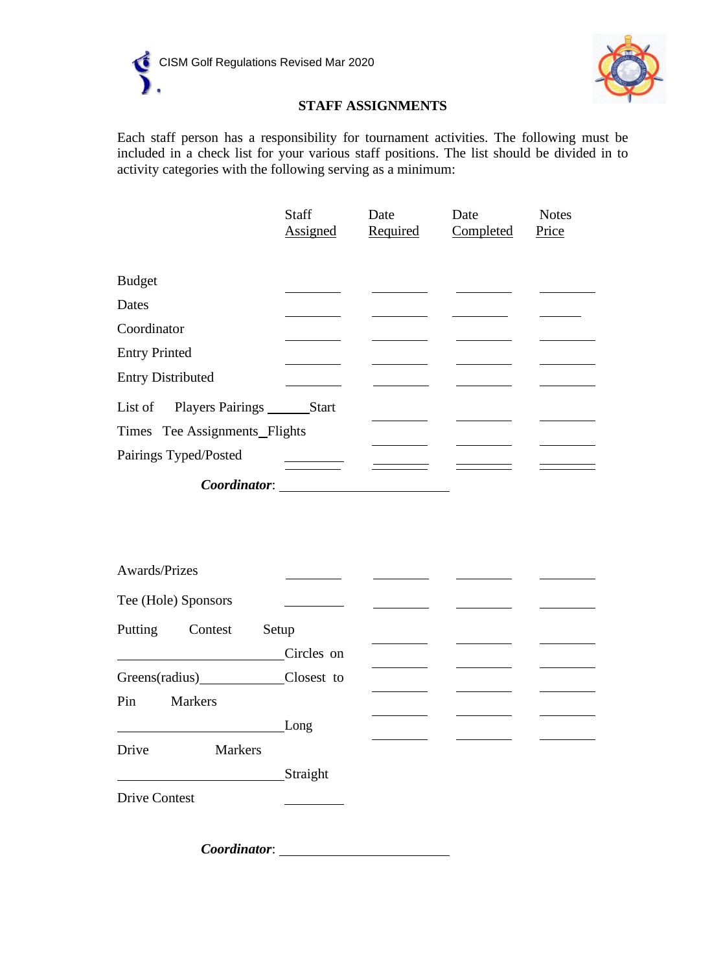



### **STAFF ASSIGNMENTS**

Each staff person has a responsibility for tournament activities. The following must be included in a check list for your various staff positions. The list should be divided in to activity categories with the following serving as a minimum:

|                               | Staff        | Date     | Date      | <b>Notes</b> |
|-------------------------------|--------------|----------|-----------|--------------|
|                               | Assigned     | Required | Completed | Price        |
|                               |              |          |           |              |
| <b>Budget</b>                 |              |          |           |              |
| Dates                         |              |          |           |              |
| Coordinator                   |              |          |           |              |
| <b>Entry Printed</b>          |              |          |           |              |
| <b>Entry Distributed</b>      |              |          |           |              |
|                               |              |          |           |              |
| List of Players Pairings      | <b>Start</b> |          |           |              |
| Times Tee Assignments Flights |              |          |           |              |
| Pairings Typed/Posted         |              |          |           |              |
| Coordinator:                  |              |          |           |              |

| Awards/Prizes         |            |  |  |
|-----------------------|------------|--|--|
| Tee (Hole) Sponsors   |            |  |  |
| Putting<br>Contest    | Setup      |  |  |
|                       | Circles on |  |  |
|                       | Closest to |  |  |
| Pin<br><b>Markers</b> |            |  |  |
|                       | Long       |  |  |
| Drive<br>Markers      |            |  |  |
|                       | Straight   |  |  |
| <b>Drive Contest</b>  |            |  |  |

*Coordinator*: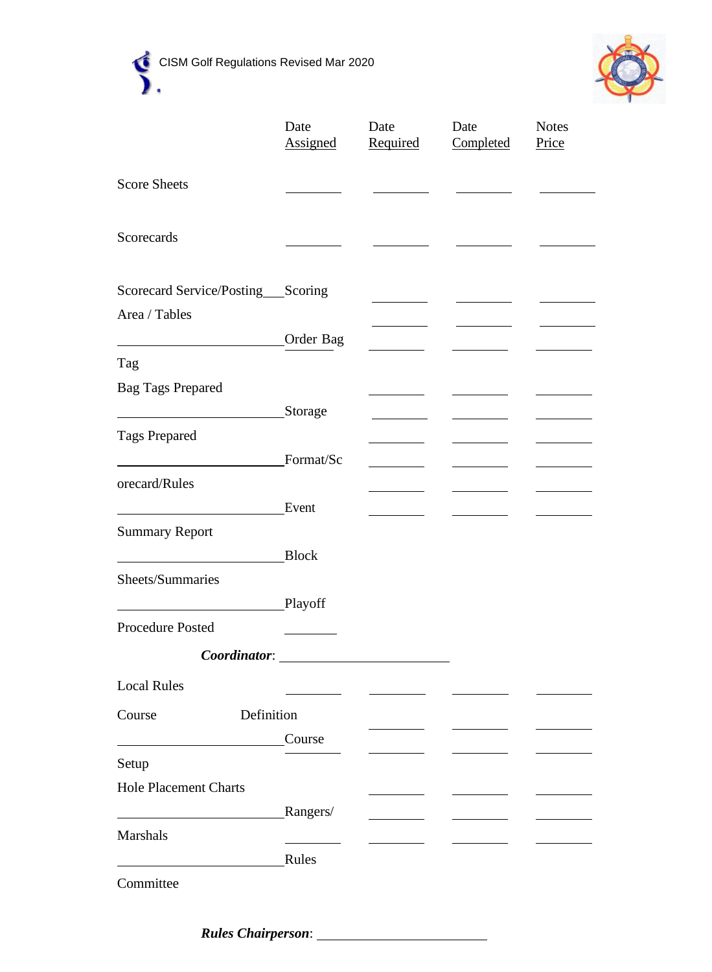





|                                      | Date<br><b>Assigned</b>                     | Date<br>Required | Date<br>Completed | <b>Notes</b><br>Price |
|--------------------------------------|---------------------------------------------|------------------|-------------------|-----------------------|
| <b>Score Sheets</b>                  |                                             |                  |                   |                       |
| Scorecards                           |                                             |                  |                   |                       |
| Scorecard Service/Posting____Scoring |                                             |                  |                   |                       |
| Area / Tables                        |                                             |                  |                   |                       |
|                                      | Order Bag                                   |                  |                   |                       |
| Tag                                  |                                             |                  |                   |                       |
| <b>Bag Tags Prepared</b>             |                                             |                  |                   |                       |
|                                      | Storage                                     |                  |                   |                       |
| <b>Tags Prepared</b>                 |                                             |                  |                   |                       |
|                                      | Format/Sc                                   |                  |                   |                       |
| orecard/Rules                        |                                             |                  |                   |                       |
|                                      | Event                                       |                  |                   |                       |
| <b>Summary Report</b>                |                                             |                  |                   |                       |
|                                      | <b>Block</b>                                |                  |                   |                       |
| Sheets/Summaries                     |                                             |                  |                   |                       |
|                                      | Playoff                                     |                  |                   |                       |
| <b>Procedure Posted</b>              |                                             |                  |                   |                       |
|                                      | Coordinator: University of the Coordinator: |                  |                   |                       |
| <b>Local Rules</b>                   |                                             |                  |                   |                       |
| Definition<br>Course                 |                                             |                  |                   |                       |
|                                      | Course                                      |                  |                   |                       |
| Setup                                |                                             |                  |                   |                       |
| <b>Hole Placement Charts</b>         |                                             |                  |                   |                       |
|                                      | Rangers/                                    |                  |                   |                       |
| Marshals                             |                                             |                  |                   |                       |
|                                      | Rules                                       |                  |                   |                       |
| Committee                            |                                             |                  |                   |                       |

*Rules Chairperson*: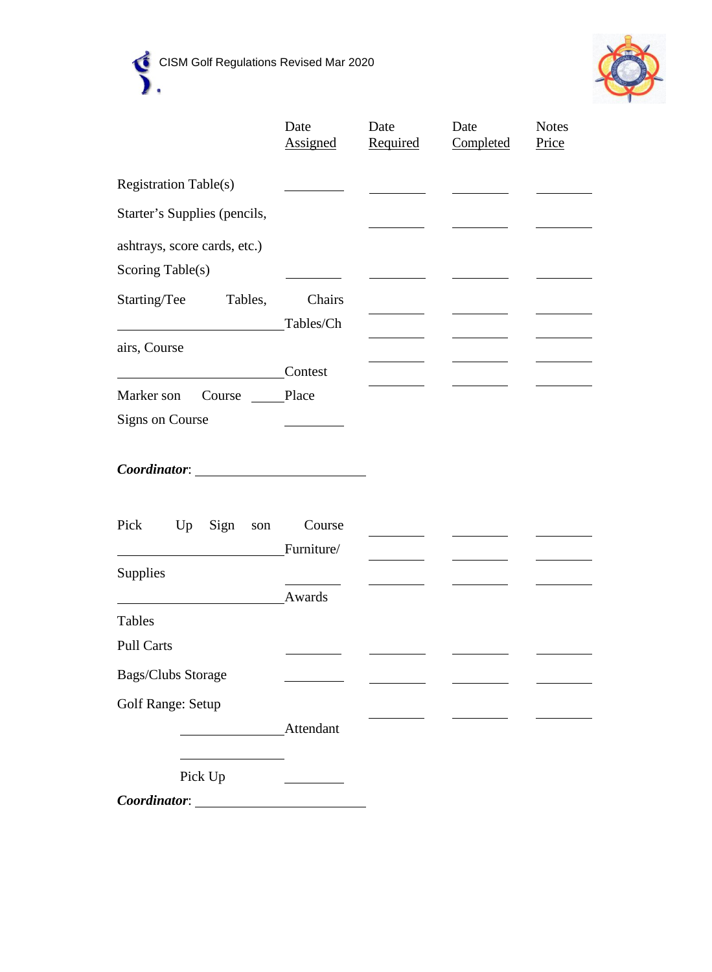



|                                             | Date<br><b>Assigned</b> | Date<br>Required | Date<br>Completed | <b>Notes</b><br>Price |
|---------------------------------------------|-------------------------|------------------|-------------------|-----------------------|
| <b>Registration Table(s)</b>                |                         |                  |                   |                       |
| Starter's Supplies (pencils,                |                         |                  |                   |                       |
| ashtrays, score cards, etc.)                |                         |                  |                   |                       |
| Scoring Table(s)<br>Starting/Tee<br>Tables, | Chairs                  |                  |                   |                       |
|                                             | Tables/Ch               |                  |                   |                       |
| airs, Course                                |                         |                  |                   |                       |
|                                             | Contest                 |                  |                   |                       |
| Marker son<br>Course                        | Place                   |                  |                   |                       |
| <b>Signs on Course</b>                      |                         |                  |                   |                       |
|                                             |                         |                  |                   |                       |
| Pick Up<br>Sign<br>son                      | Course                  |                  |                   |                       |
|                                             | Furniture/              |                  |                   |                       |
| <b>Supplies</b>                             |                         |                  |                   |                       |
|                                             | Awards                  |                  |                   |                       |
| Tables                                      |                         |                  |                   |                       |
| <b>Pull Carts</b>                           |                         |                  |                   |                       |
| Bags/Clubs Storage                          |                         |                  |                   |                       |
| <b>Golf Range: Setup</b>                    |                         |                  |                   |                       |
|                                             | Attendant               |                  |                   |                       |
| Pick Up                                     |                         |                  |                   |                       |
| Coordinator:                                |                         |                  |                   |                       |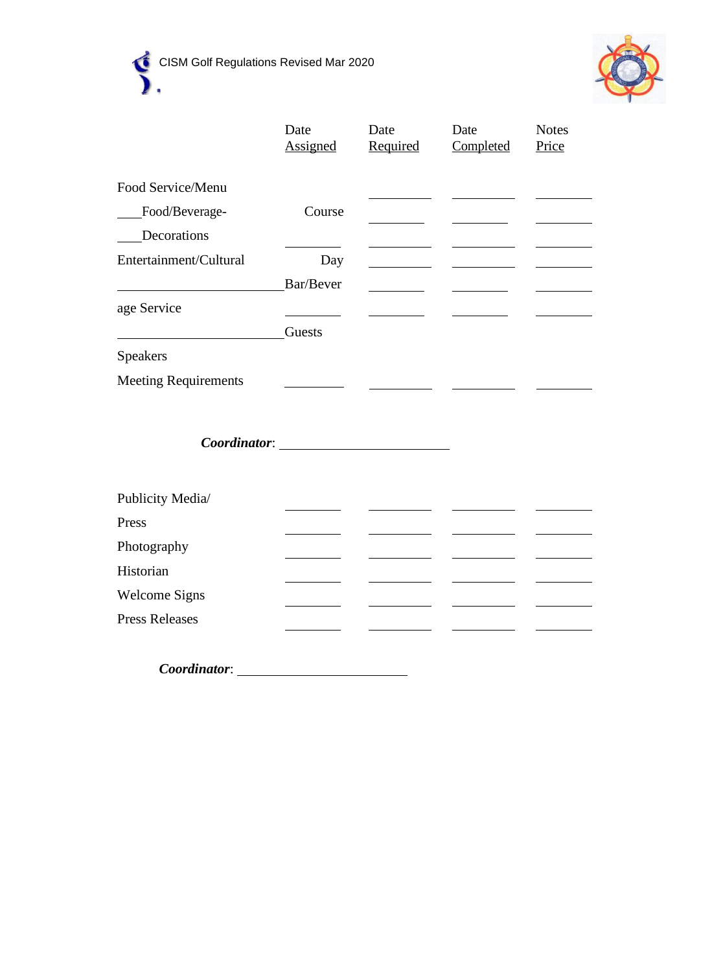



|                             | Date<br>Assigned    | Date<br>Required | Date<br>Completed | <b>Notes</b><br>Price |
|-----------------------------|---------------------|------------------|-------------------|-----------------------|
| Food Service/Menu           |                     |                  |                   |                       |
| Food/Beverage-              | Course              |                  |                   |                       |
| Decorations                 |                     |                  |                   |                       |
| Entertainment/Cultural      |                     |                  |                   |                       |
|                             | Day                 |                  |                   |                       |
|                             | Bar/Bever           |                  |                   |                       |
| age Service                 |                     |                  |                   |                       |
|                             | Guests              |                  |                   |                       |
| Speakers                    |                     |                  |                   |                       |
| <b>Meeting Requirements</b> |                     |                  |                   |                       |
|                             |                     |                  |                   |                       |
|                             | <b>Coordinator:</b> |                  |                   |                       |
|                             |                     |                  |                   |                       |
| Publicity Media/            |                     |                  |                   |                       |
| Press                       |                     |                  |                   |                       |
| Photography                 |                     |                  |                   |                       |
| Historian                   |                     |                  |                   |                       |
| <b>Welcome Signs</b>        |                     |                  |                   |                       |
| <b>Press Releases</b>       |                     |                  |                   |                       |
|                             |                     |                  |                   |                       |
| Coordinator:                |                     |                  |                   |                       |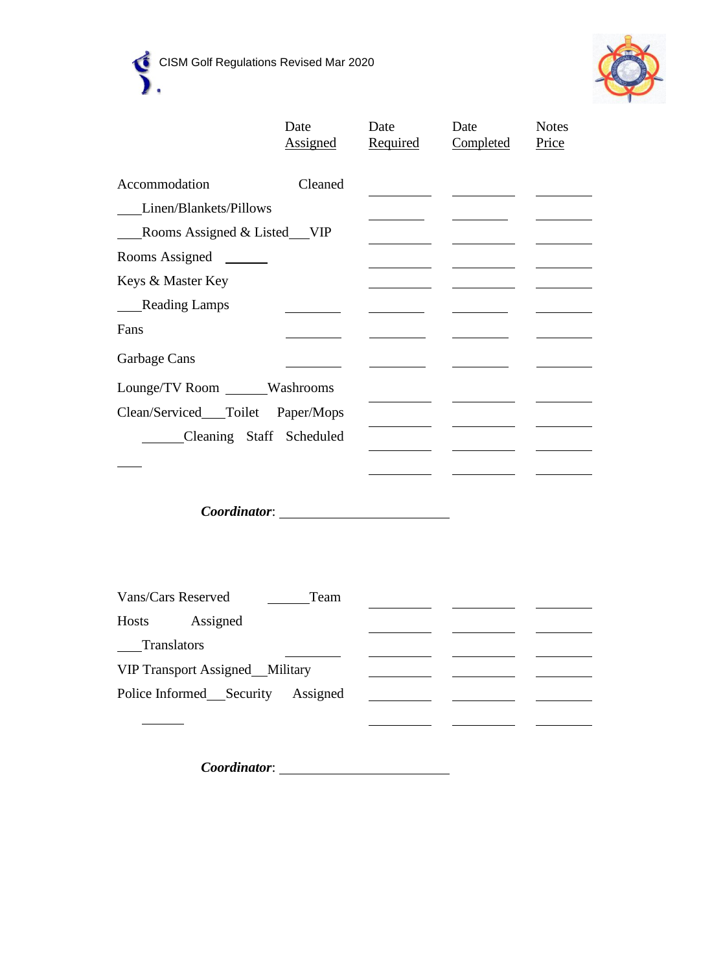

|                                        | Date                      | Date     | Date      | <b>Notes</b> |
|----------------------------------------|---------------------------|----------|-----------|--------------|
|                                        | Assigned                  | Required | Completed | Price        |
| Accommodation                          | Cleaned                   |          |           |              |
| Linen/Blankets/Pillows                 |                           |          |           |              |
| Rooms Assigned & Listed VIP            |                           |          |           |              |
| Rooms Assigned                         |                           |          |           |              |
| Keys & Master Key                      |                           |          |           |              |
| Reading Lamps                          |                           |          |           |              |
| Fans                                   |                           |          |           |              |
| Garbage Cans                           |                           |          |           |              |
| Lounge/TV Room ______Washrooms         |                           |          |           |              |
| Clean/Serviced___Toilet                | Paper/Mops                |          |           |              |
| Cleaning Staff Scheduled               |                           |          |           |              |
|                                        |                           |          |           |              |
|                                        |                           |          |           |              |
|                                        | Coordinator: Coordinator: |          |           |              |
|                                        |                           |          |           |              |
|                                        |                           |          |           |              |
|                                        |                           |          |           |              |
| Vans/Cars Reserved                     | Team                      |          |           |              |
| Hosts<br>Assigned                      |                           |          |           |              |
| Translators                            |                           |          |           |              |
| <b>VIP Transport Assigned</b> Military |                           |          |           |              |
| Police Informed Security               | Assigned                  |          |           |              |

*Coordinator*:

 $\frac{1}{\sqrt{2}}$ 

 $\overline{\phantom{a}}$  $\sim$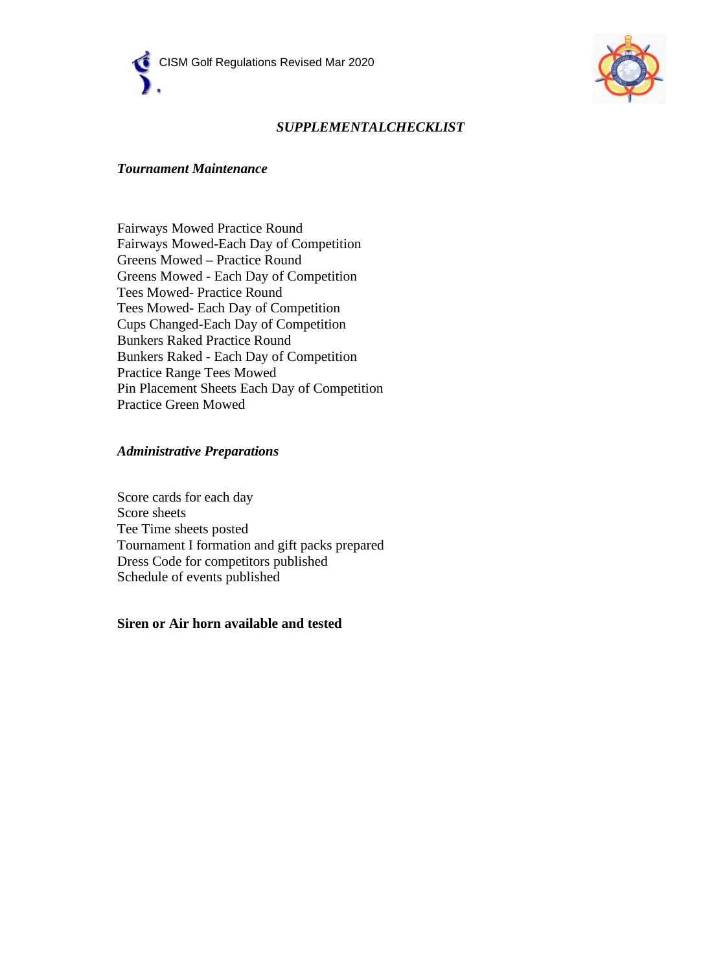



### *SUPPLEMENTALCHECKLIST*

#### *Tournament Maintenance*

Fairways Mowed Practice Round Fairways Mowed-Each Day of Competition Greens Mowed – Practice Round Greens Mowed - Each Day of Competition Tees Mowed- Practice Round Tees Mowed- Each Day of Competition Cups Changed-Each Day of Competition Bunkers Raked Practice Round Bunkers Raked - Each Day of Competition Practice Range Tees Mowed Pin Placement Sheets Each Day of Competition Practice Green Mowed

#### *Administrative Preparations*

Score cards for each day Score sheets Tee Time sheets posted Tournament I formation and gift packs prepared Dress Code for competitors published Schedule of events published

#### **Siren or Air horn available and tested**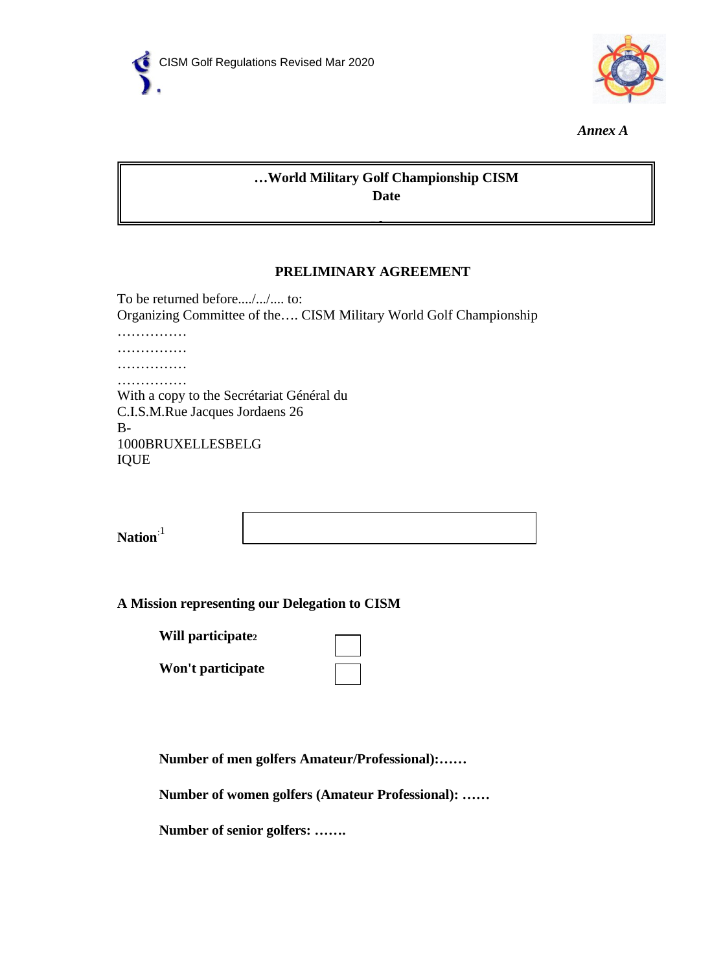



*Annex A*

### **…World Military Golf Championship CISM Date**

### **PRELIMINARY AGREEMENT**

**Pl**

To be returned before..../.../.... to: Organizing Committee of the…. CISM Military World Golf Championship …………… ……………… …………… …………… With a copy to the Secrétariat Général du C.I.S.M.Rue Jacques Jordaens 26 B-1000BRUXELLESBELG IQUE

**Nation**:1

### **A Mission representing our Delegation to CISM**

**Will participate2**

**Won't participate**

|  | ___ |
|--|-----|
|  |     |
|  |     |

**Number of men golfers Amateur/Professional):……**

**Number of women golfers (Amateur Professional): ……**

**Number of senior golfers: …….**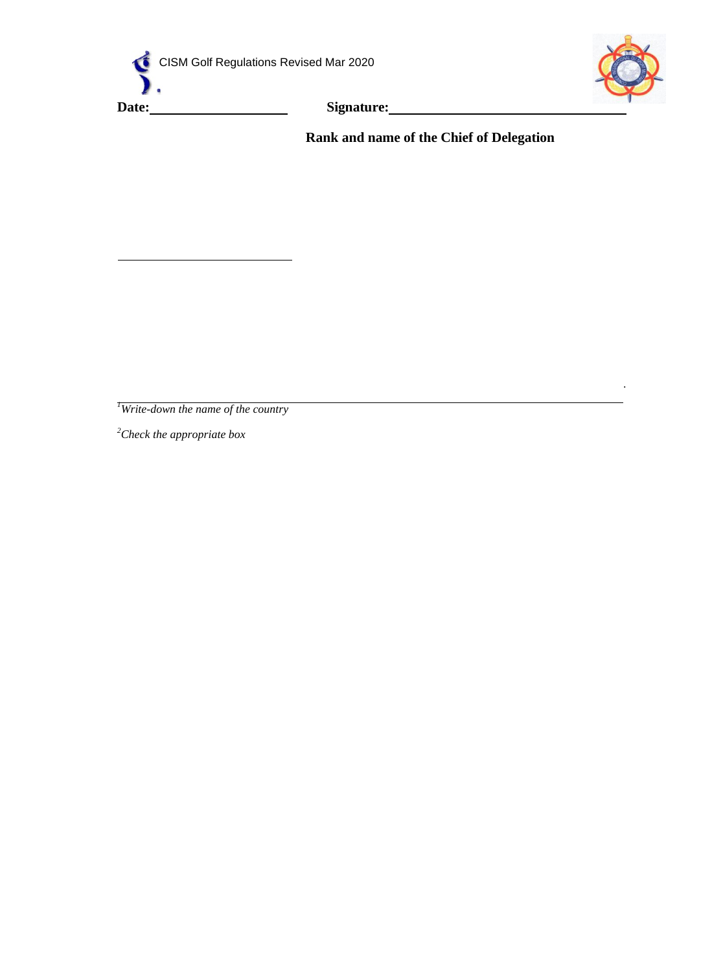





*.*

**Rank and name of the Chief of Delegation**

*1 Write-down the name of the country*

*2 Check the appropriate box*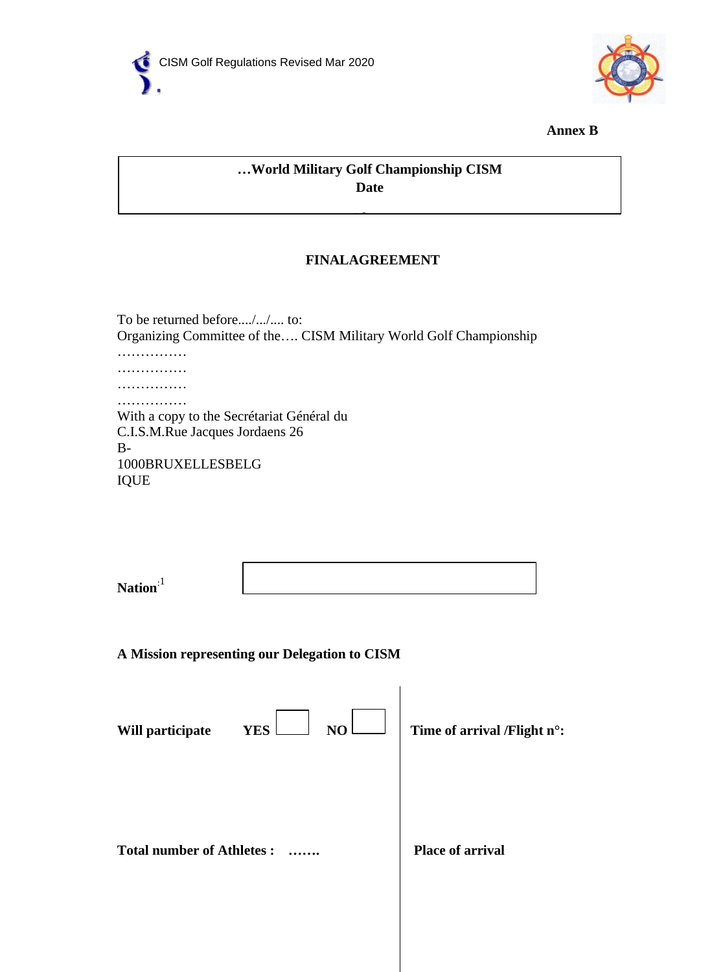



**Annex B**

# **…World Military Golf Championship CISM Date**

**Pl**

### **FINALAGREEMENT**

To be returned before..../.../.... to: Organizing Committee of the…. CISM Military World Golf Championship …………… …………… …………… …………… With a copy to the Secrétariat Général du C.I.S.M.Rue Jacques Jordaens 26 B-

1000BRUXELLESBELG IQUE

| Nation <sup>:1</sup> |  |
|----------------------|--|

**A Mission representing our Delegation to CISM**

| Will participate                 | NO<br><b>YES</b> | Time of arrival /Flight n°: |  |
|----------------------------------|------------------|-----------------------------|--|
| <b>Total number of Athletes:</b> |                  | <b>Place of arrival</b>     |  |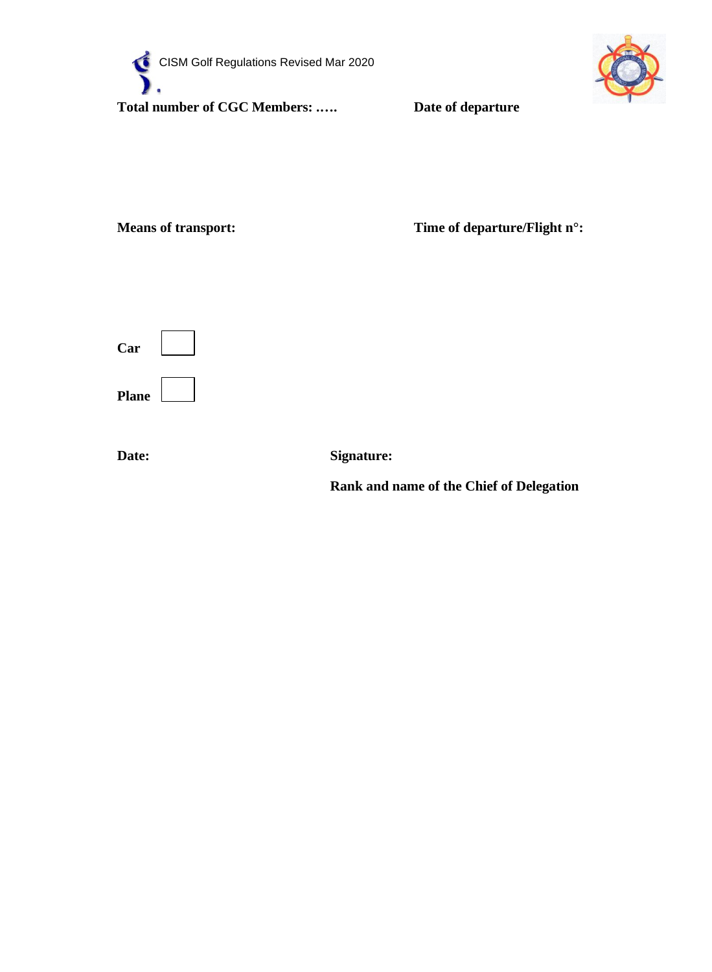



**Means of transport: Time of departure/Flight n°:** 



**Date: Signature:**

**Rank and name of the Chief of Delegation**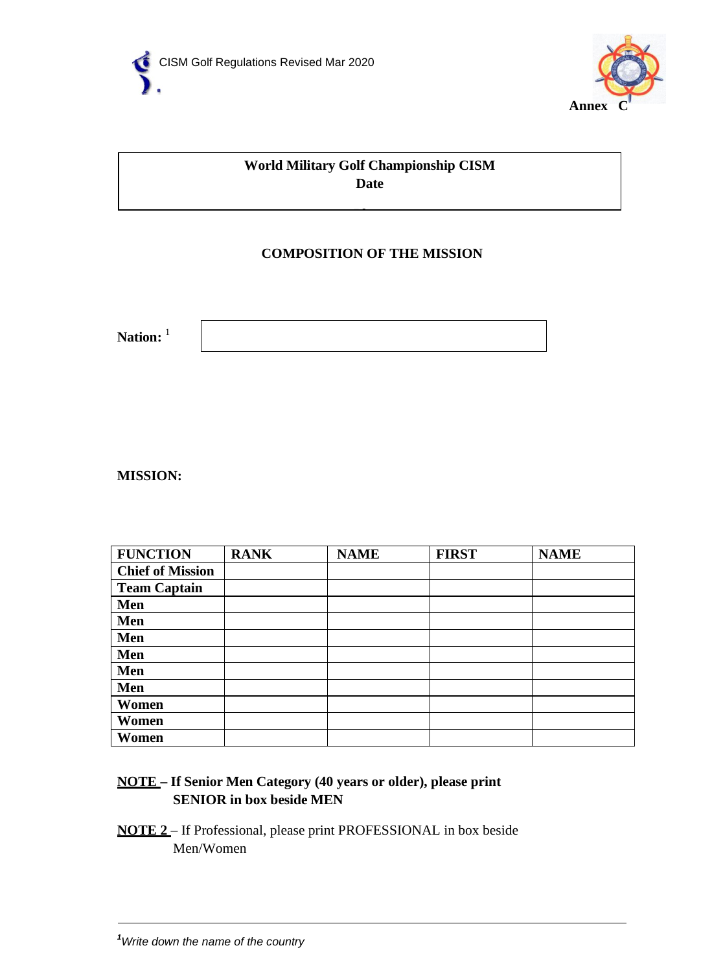



# **World Military Golf Championship CISM Date**

**Pl**

# **COMPOSITION OF THE MISSION**

Nation: <sup>1</sup>

**MISSION:**

| <b>FUNCTION</b>         | <b>RANK</b> | <b>NAME</b> | <b>FIRST</b> | <b>NAME</b> |
|-------------------------|-------------|-------------|--------------|-------------|
| <b>Chief of Mission</b> |             |             |              |             |
| <b>Team Captain</b>     |             |             |              |             |
| Men                     |             |             |              |             |
| Men                     |             |             |              |             |
| Men                     |             |             |              |             |
| Men                     |             |             |              |             |
| Men                     |             |             |              |             |
| Men                     |             |             |              |             |
| Women                   |             |             |              |             |
| Women                   |             |             |              |             |
| Women                   |             |             |              |             |

# **NOTE – If Senior Men Category (40 years or older), please print SENIOR in box beside MEN**

**NOTE 2** – If Professional, please print PROFESSIONAL in box beside Men/Women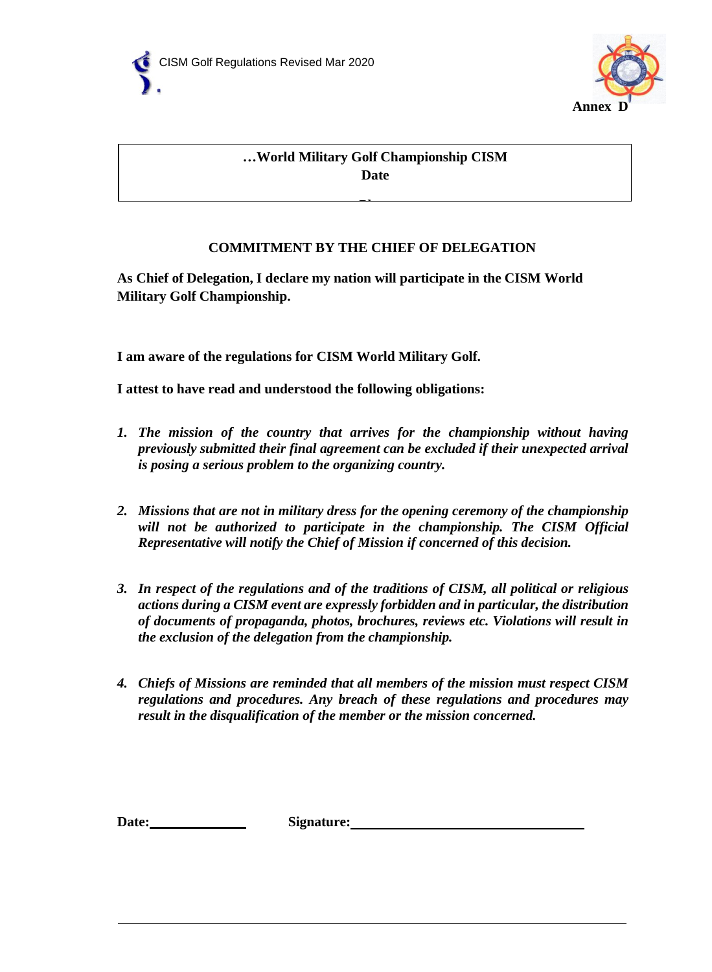



# **…World Military Golf Championship CISM Date**

# **COMMITMENT BY THE CHIEF OF DELEGATION**

**Pl**

**As Chief of Delegation, I declare my nation will participate in the CISM World Military Golf Championship.**

**I am aware of the regulations for CISM World Military Golf.**

**I attest to have read and understood the following obligations:**

- *1. The mission of the country that arrives for the championship without having previously submitted their final agreement can be excluded if their unexpected arrival is posing a serious problem to the organizing country.*
- *2. Missions that are not in military dress for the opening ceremony of the championship will not be authorized to participate in the championship. The CISM Official Representative will notify the Chief of Mission if concerned of this decision.*
- *3. In respect of the regulations and of the traditions of CISM, all political or religious actions during a CISM event are expressly forbidden and in particular, the distribution of documents of propaganda, photos, brochures, reviews etc. Violations will result in the exclusion of the delegation from the championship.*
- *4. Chiefs of Missions are reminded that all members of the mission must respect CISM regulations and procedures. Any breach of these regulations and procedures may result in the disqualification of the member or the mission concerned.*

Date:
<u>Signature:</u>
Signature:
Signature:

Signature:

Signature:

Signature:  $\frac{1}{2}$  Signature:  $\frac{1}{2}$  Signature:  $\frac{1}{2}$  Signature:  $\frac{1}{2}$  Signature:  $\frac{1}{2}$  Signature:  $\frac{1}{2}$  Signature:  $\frac{1}{2}$  Signatur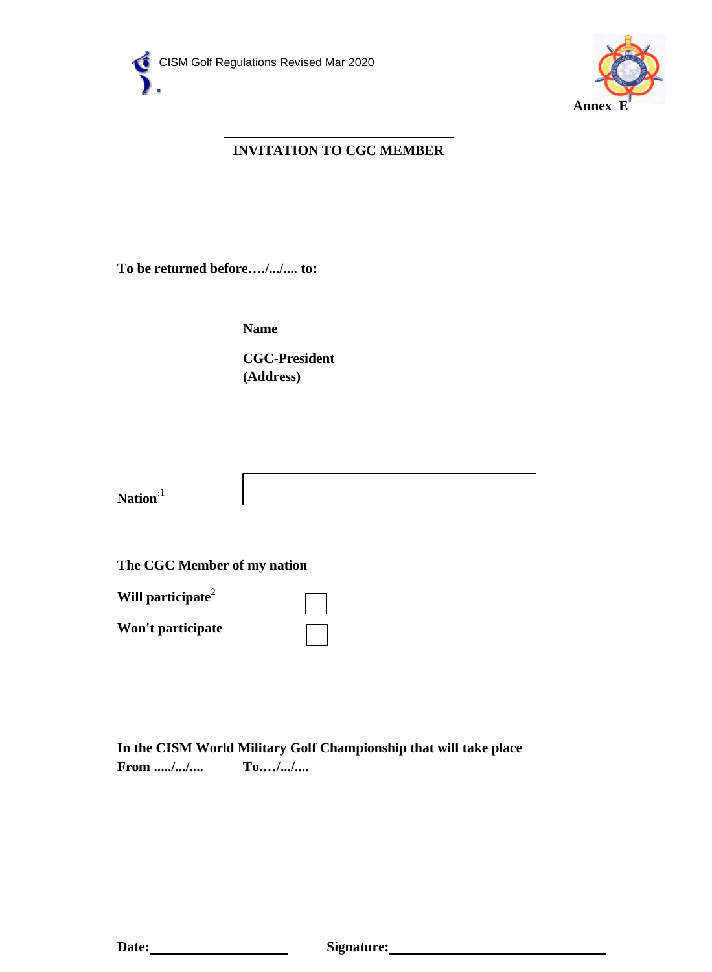



# **INVITATION TO CGC MEMBER**

**To be returned before…./.../.... to:**

**Name**

**CGC-President (Address)**

| <b>N</b><br><b>Nation</b> |  |
|---------------------------|--|

**The CGC Member of my nation**



**In the CISM World Military Golf Championship that will take place From ...../.../.... To.…/.../....**